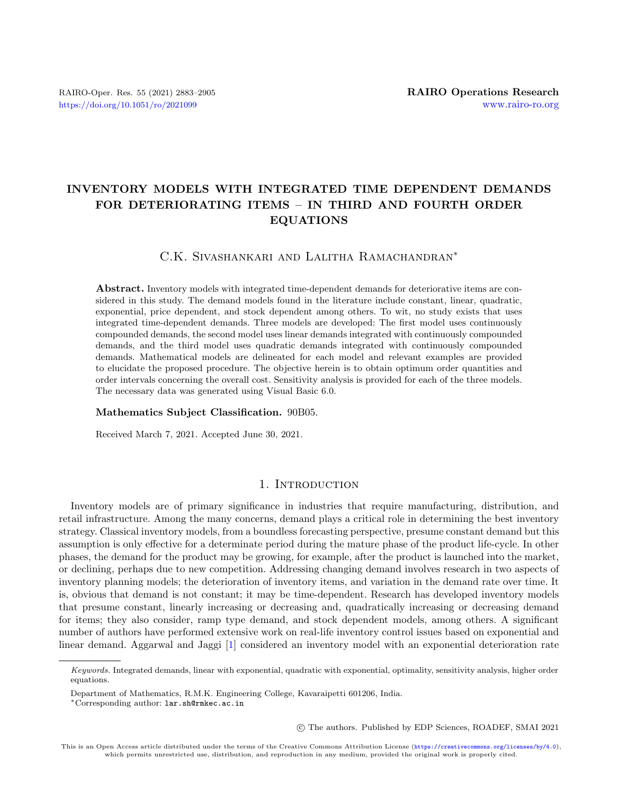## INVENTORY MODELS WITH INTEGRATED TIME DEPENDENT DEMANDS FOR DETERIORATING ITEMS – IN THIRD AND FOURTH ORDER EQUATIONS

## C.K. Sivashankari and Lalitha Ramachandran<sup>\*</sup>

Abstract. Inventory models with integrated time-dependent demands for deteriorative items are considered in this study. The demand models found in the literature include constant, linear, quadratic, exponential, price dependent, and stock dependent among others. To wit, no study exists that uses integrated time-dependent demands. Three models are developed: The first model uses continuously compounded demands, the second model uses linear demands integrated with continuously compounded demands, and the third model uses quadratic demands integrated with continuously compounded demands. Mathematical models are delineated for each model and relevant examples are provided to elucidate the proposed procedure. The objective herein is to obtain optimum order quantities and order intervals concerning the overall cost. Sensitivity analysis is provided for each of the three models. The necessary data was generated using Visual Basic 6.0.

#### Mathematics Subject Classification. 90B05.

Received March 7, 2021. Accepted June 30, 2021.

## 1. INTRODUCTION

Inventory models are of primary significance in industries that require manufacturing, distribution, and retail infrastructure. Among the many concerns, demand plays a critical role in determining the best inventory strategy. Classical inventory models, from a boundless forecasting perspective, presume constant demand but this assumption is only effective for a determinate period during the mature phase of the product life-cycle. In other phases, the demand for the product may be growing, for example, after the product is launched into the market, or declining, perhaps due to new competition. Addressing changing demand involves research in two aspects of inventory planning models; the deterioration of inventory items, and variation in the demand rate over time. It is, obvious that demand is not constant; it may be time-dependent. Research has developed inventory models that presume constant, linearly increasing or decreasing and, quadratically increasing or decreasing demand for items; they also consider, ramp type demand, and stock dependent models, among others. A significant number of authors have performed extensive work on real-life inventory control issues based on exponential and linear demand. Aggarwal and Jaggi [\[1\]](#page-21-0) considered an inventory model with an exponential deterioration rate

○c The authors. Published by EDP Sciences, ROADEF, SMAI 2021

Keywords. Integrated demands, linear with exponential, quadratic with exponential, optimality, sensitivity analysis, higher order equations.

Department of Mathematics, R.M.K. Engineering College, Kavaraipetti 601206, India.

<sup>\*</sup>Corresponding author: [lar.sh@rmkec.ac.in](mailto:lar.sh@rmkec.ac.in)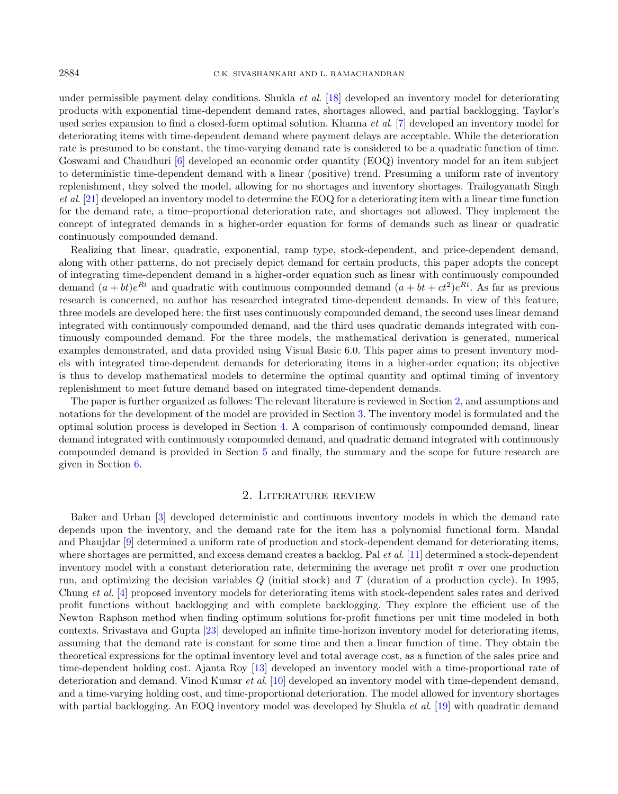under permissible payment delay conditions. Shukla et al. [\[18\]](#page-22-0) developed an inventory model for deteriorating products with exponential time-dependent demand rates, shortages allowed, and partial backlogging. Taylor's used series expansion to find a closed-form optimal solution. Khanna *et al.* [\[7\]](#page-22-1) developed an inventory model for deteriorating items with time-dependent demand where payment delays are acceptable. While the deterioration rate is presumed to be constant, the time-varying demand rate is considered to be a quadratic function of time. Goswami and Chaudhuri [\[6\]](#page-22-2) developed an economic order quantity (EOQ) inventory model for an item subject to deterministic time-dependent demand with a linear (positive) trend. Presuming a uniform rate of inventory replenishment, they solved the model, allowing for no shortages and inventory shortages. Trailogyanath Singh et al. [\[21\]](#page-22-3) developed an inventory model to determine the EOQ for a deteriorating item with a linear time function for the demand rate, a time–proportional deterioration rate, and shortages not allowed. They implement the concept of integrated demands in a higher-order equation for forms of demands such as linear or quadratic continuously compounded demand.

Realizing that linear, quadratic, exponential, ramp type, stock-dependent, and price-dependent demand, along with other patterns, do not precisely depict demand for certain products, this paper adopts the concept of integrating time-dependent demand in a higher-order equation such as linear with continuously compounded demand  $(a + bt)e^{Rt}$  and quadratic with continuous compounded demand  $(a + bt + ct^2)e^{Rt}$ . As far as previous research is concerned, no author has researched integrated time-dependent demands. In view of this feature, three models are developed here: the first uses continuously compounded demand, the second uses linear demand integrated with continuously compounded demand, and the third uses quadratic demands integrated with continuously compounded demand. For the three models, the mathematical derivation is generated, numerical examples demonstrated, and data provided using Visual Basic 6.0. This paper aims to present inventory models with integrated time-dependent demands for deteriorating items in a higher-order equation; its objective is thus to develop mathematical models to determine the optimal quantity and optimal timing of inventory replenishment to meet future demand based on integrated time-dependent demands.

The paper is further organized as follows: The relevant literature is reviewed in Section [2,](#page-1-0) and assumptions and notations for the development of the model are provided in Section [3.](#page-2-0) The inventory model is formulated and the optimal solution process is developed in Section [4.](#page-3-0) A comparison of continuously compounded demand, linear demand integrated with continuously compounded demand, and quadratic demand integrated with continuously compounded demand is provided in Section [5](#page-17-0) and finally, the summary and the scope for future research are given in Section [6.](#page-18-0)

#### 2. Literature review

<span id="page-1-0"></span>Baker and Urban [\[3\]](#page-21-1) developed deterministic and continuous inventory models in which the demand rate depends upon the inventory, and the demand rate for the item has a polynomial functional form. Mandal and Phaujdar [\[9\]](#page-22-4) determined a uniform rate of production and stock-dependent demand for deteriorating items, where shortages are permitted, and excess demand creates a backlog. Pal *et al.* [\[11\]](#page-22-5) determined a stock-dependent inventory model with a constant deterioration rate, determining the average net profit  $\pi$  over one production run, and optimizing the decision variables  $Q$  (initial stock) and  $T$  (duration of a production cycle). In 1995, Chung et al. [\[4\]](#page-22-6) proposed inventory models for deteriorating items with stock-dependent sales rates and derived profit functions without backlogging and with complete backlogging. They explore the efficient use of the Newton–Raphson method when finding optimum solutions for-profit functions per unit time modeled in both contexts. Srivastava and Gupta [\[23\]](#page-22-7) developed an infinite time-horizon inventory model for deteriorating items, assuming that the demand rate is constant for some time and then a linear function of time. They obtain the theoretical expressions for the optimal inventory level and total average cost, as a function of the sales price and time-dependent holding cost. Ajanta Roy [\[13\]](#page-22-8) developed an inventory model with a time-proportional rate of deterioration and demand. Vinod Kumar et al. [\[10\]](#page-22-9) developed an inventory model with time-dependent demand, and a time-varying holding cost, and time-proportional deterioration. The model allowed for inventory shortages with partial backlogging. An EOQ inventory model was developed by Shukla *et al.* [\[19\]](#page-22-10) with quadratic demand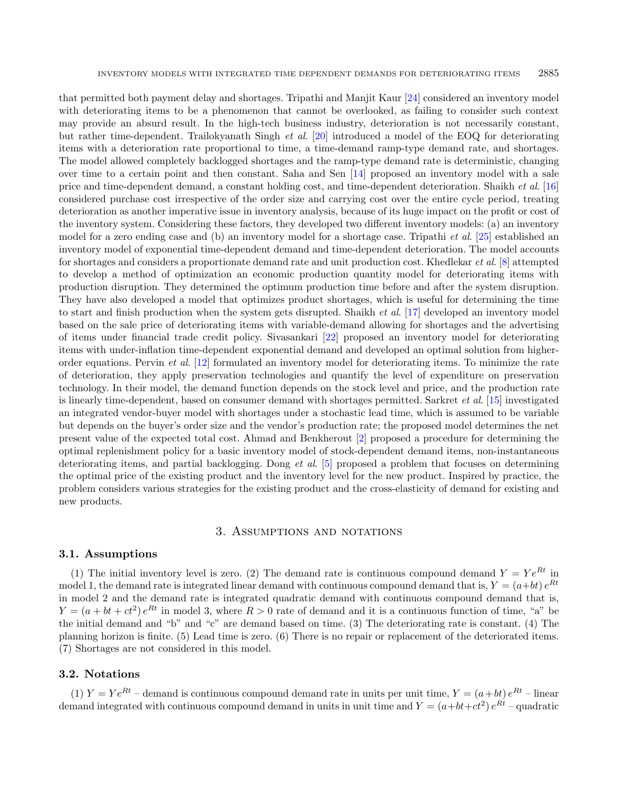that permitted both payment delay and shortages. Tripathi and Manjit Kaur [\[24\]](#page-22-11) considered an inventory model with deteriorating items to be a phenomenon that cannot be overlooked, as failing to consider such context may provide an absurd result. In the high-tech business industry, deterioration is not necessarily constant, but rather time-dependent. Trailokyanath Singh et al. [\[20\]](#page-22-12) introduced a model of the EOQ for deteriorating items with a deterioration rate proportional to time, a time-demand ramp-type demand rate, and shortages. The model allowed completely backlogged shortages and the ramp-type demand rate is deterministic, changing over time to a certain point and then constant. Saha and Sen [\[14\]](#page-22-13) proposed an inventory model with a sale price and time-dependent demand, a constant holding cost, and time-dependent deterioration. Shaikh et al. [\[16\]](#page-22-14) considered purchase cost irrespective of the order size and carrying cost over the entire cycle period, treating deterioration as another imperative issue in inventory analysis, because of its huge impact on the profit or cost of the inventory system. Considering these factors, they developed two different inventory models: (a) an inventory model for a zero ending case and (b) an inventory model for a shortage case. Tripathi et al. [\[25\]](#page-22-15) established an inventory model of exponential time-dependent demand and time-dependent deterioration. The model accounts for shortages and considers a proportionate demand rate and unit production cost. Khedlekar et al. [\[8\]](#page-22-16) attempted to develop a method of optimization an economic production quantity model for deteriorating items with production disruption. They determined the optimum production time before and after the system disruption. They have also developed a model that optimizes product shortages, which is useful for determining the time to start and finish production when the system gets disrupted. Shaikh *et al.* [\[17\]](#page-22-17) developed an inventory model based on the sale price of deteriorating items with variable-demand allowing for shortages and the advertising of items under financial trade credit policy. Sivasankari [\[22\]](#page-22-18) proposed an inventory model for deteriorating items with under-inflation time-dependent exponential demand and developed an optimal solution from higherorder equations. Pervin et al. [\[12\]](#page-22-19) formulated an inventory model for deteriorating items. To minimize the rate of deterioration, they apply preservation technologies and quantify the level of expenditure on preservation technology. In their model, the demand function depends on the stock level and price, and the production rate is linearly time-dependent, based on consumer demand with shortages permitted. Sarkret et al. [\[15\]](#page-22-20) investigated an integrated vendor-buyer model with shortages under a stochastic lead time, which is assumed to be variable but depends on the buyer's order size and the vendor's production rate; the proposed model determines the net present value of the expected total cost. Ahmad and Benkherout [\[2\]](#page-21-2) proposed a procedure for determining the optimal replenishment policy for a basic inventory model of stock-dependent demand items, non-instantaneous deteriorating items, and partial backlogging. Dong et al. [\[5\]](#page-22-21) proposed a problem that focuses on determining the optimal price of the existing product and the inventory level for the new product. Inspired by practice, the problem considers various strategies for the existing product and the cross-elasticity of demand for existing and new products.

#### 3. Assumptions and notations

#### <span id="page-2-0"></span>3.1. Assumptions

(1) The initial inventory level is zero. (2) The demand rate is continuous compound demand  $Y = Ye^{Rt}$  in model 1, the demand rate is integrated linear demand with continuous compound demand that is,  $Y = (a+bt) e^{Rt}$ in model 2 and the demand rate is integrated quadratic demand with continuous compound demand that is,  $Y = (a + bt + ct^2) e^{Rt}$  in model 3, where  $R > 0$  rate of demand and it is a continuous function of time, "a" be the initial demand and "b" and "c" are demand based on time. (3) The deteriorating rate is constant. (4) The planning horizon is finite. (5) Lead time is zero. (6) There is no repair or replacement of the deteriorated items. (7) Shortages are not considered in this model.

### 3.2. Notations

(1)  $Y = Ye^{Rt}$  – demand is continuous compound demand rate in units per unit time,  $Y = (a + bt) e^{Rt}$  – linear demand integrated with continuous compound demand in units in unit time and  $Y = (a + bt + ct^2) e^{Rt}$  – quadratic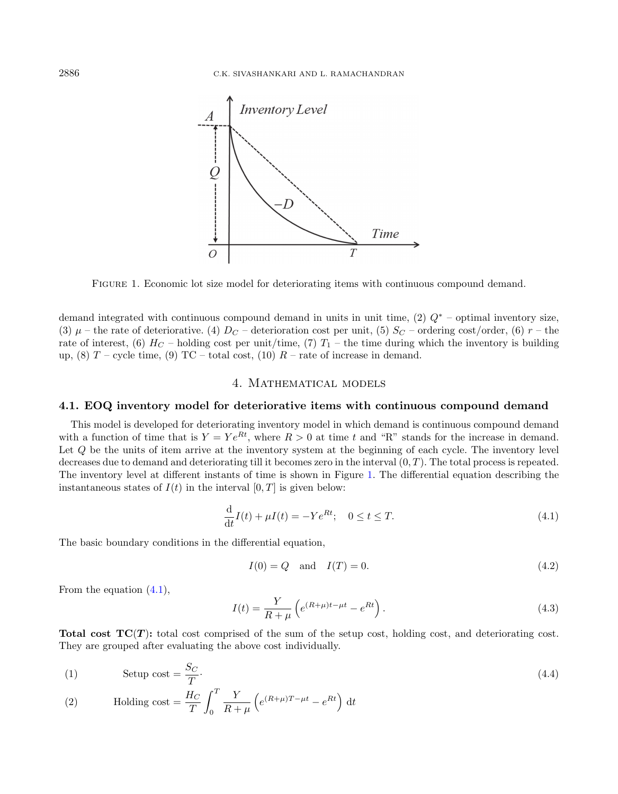<span id="page-3-1"></span>

Figure 1. Economic lot size model for deteriorating items with continuous compound demand.

demand integrated with continuous compound demand in units in unit time,  $(2)$   $Q^*$  – optimal inventory size, (3)  $\mu$  – the rate of deteriorative. (4)  $D_C$  – deterioration cost per unit, (5)  $S_C$  – ordering cost/order, (6)  $r$  – the rate of interest, (6)  $H_C$  – holding cost per unit/time, (7)  $T_1$  – the time during which the inventory is building up, (8)  $T$  – cycle time, (9) TC – total cost, (10)  $R$  – rate of increase in demand.

## <span id="page-3-2"></span>4. Mathematical models

#### <span id="page-3-0"></span>4.1. EOQ inventory model for deteriorative items with continuous compound demand

This model is developed for deteriorating inventory model in which demand is continuous compound demand with a function of time that is  $Y = Ye^{Rt}$ , where  $R > 0$  at time t and "R" stands for the increase in demand. Let  $Q$  be the units of item arrive at the inventory system at the beginning of each cycle. The inventory level decreases due to demand and deteriorating till it becomes zero in the interval  $(0, T)$ . The total process is repeated. The inventory level at different instants of time is shown in Figure [1.](#page-3-1) The differential equation describing the instantaneous states of  $I(t)$  in the interval  $[0, T]$  is given below:

$$
\frac{\mathrm{d}}{\mathrm{d}t}I(t) + \mu I(t) = -Ye^{Rt}; \quad 0 \le t \le T. \tag{4.1}
$$

The basic boundary conditions in the differential equation,

<span id="page-3-3"></span>
$$
I(0) = Q \text{ and } I(T) = 0. \tag{4.2}
$$

From the equation [\(4.1\)](#page-3-2),

$$
I(t) = \frac{Y}{R + \mu} \left( e^{(R + \mu)t - \mu t} - e^{Rt} \right).
$$
\n(4.3)

**Total cost**  $TC(T)$ **:** total cost comprised of the sum of the setup cost, holding cost, and deteriorating cost. They are grouped after evaluating the above cost individually.

$$
(1) \qquad \qquad \text{Setup cost} = \frac{S_C}{T}.\tag{4.4}
$$

(2) Holding cost = 
$$
\frac{H_C}{T} \int_0^T \frac{Y}{R+\mu} \left( e^{(R+\mu)T-\mu t} - e^{Rt} \right) dt
$$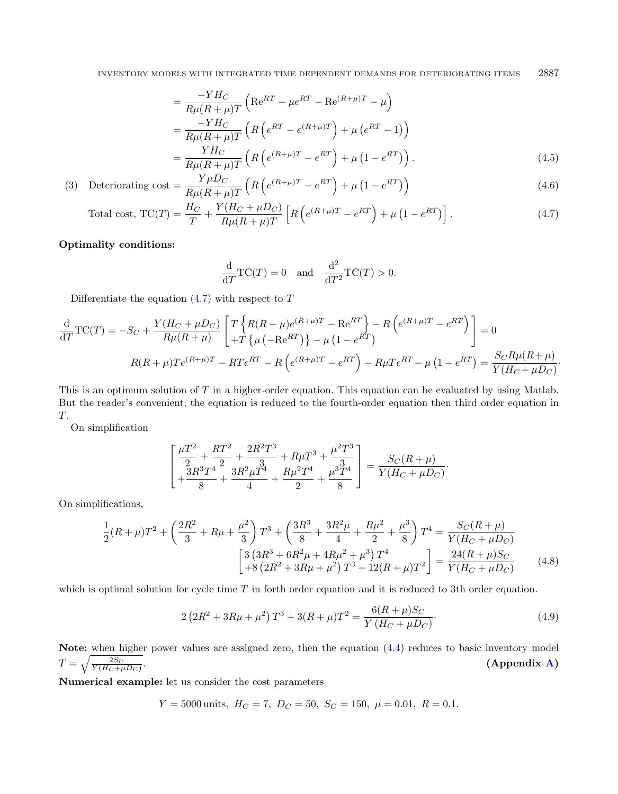<span id="page-4-0"></span>
$$
= \frac{-YH_C}{R\mu(R+\mu)T} \left( \text{Re}^{RT} + \mu e^{RT} - \text{Re}^{(R+\mu)T} - \mu \right)
$$
  
= 
$$
\frac{-YH_C}{R\mu(R+\mu)T} \left( R \left( e^{RT} - e^{(R+\mu)T} \right) + \mu \left( e^{RT} - 1 \right) \right)
$$
  
= 
$$
\frac{YH_C}{R\mu(R+\mu)T} \left( R \left( e^{(R+\mu)T} - e^{RT} \right) + \mu \left( 1 - e^{RT} \right) \right).
$$
 (4.5)

(3) Determining cost = 
$$
\frac{Y\mu D_C}{R\mu (R+\mu)T} \left( R \left( e^{(R+\mu)T} - e^{RT} \right) + \mu \left( 1 - e^{RT} \right) \right)
$$
 (4.6)

Total cost, TC(T) = 
$$
\frac{H_C}{T} + \frac{Y(H_C + \mu D_C)}{R\mu(R + \mu)T} \left[ R \left( e^{(R+\mu)T} - e^{RT} \right) + \mu \left( 1 - e^{RT} \right) \right].
$$
 (4.7)

### Optimality conditions:

<span id="page-4-1"></span>
$$
\frac{\mathrm{d}}{\mathrm{d}T}\mathrm{TC}(T) = 0 \quad \text{and} \quad \frac{\mathrm{d}^2}{\mathrm{d}T^2}\mathrm{TC}(T) > 0.
$$

Differentiate the equation  $(4.7)$  with respect to T

$$
\frac{d}{dT}TC(T) = -S_C + \frac{Y(H_C + \mu D_C)}{R\mu(R + \mu)} \left[ T \left\{ R(R + \mu)e^{(R + \mu)T} - \text{Re}^{RT} \right\} - R \left( e^{(R + \mu)T} - e^{RT} \right) \right] = 0
$$
\n
$$
R(R + \mu)Te^{(R + \mu)T} - RTe^{RT} - R \left( e^{(R + \mu)T} - e^{RT} \right) - R\mu Te^{RT} - \mu \left( 1 - e^{RT} \right) = \frac{S_C R\mu(R + \mu)}{Y(H_C + \mu D_C)}.
$$

This is an optimum solution of  $T$  in a higher-order equation. This equation can be evaluated by using Matlab. But the reader's convenient; the equation is reduced to the fourth-order equation then third order equation in  $T$ .

On simplification

$$
\left[\frac{\mu T^2}{\frac{2}{3}R^3T^4}\frac{RT^2}{2} + \frac{2R^2T^3}{3} + R\mu T^3 + \frac{\mu^2 T^3}{3} \right] = \frac{S_C(R+\mu)}{Y(H_C+\mu D_C)}.
$$

On simplifications,

$$
\frac{1}{2}(R+\mu)T^2 + \left(\frac{2R^2}{3} + R\mu + \frac{\mu^2}{3}\right)T^3 + \left(\frac{3R^3}{8} + \frac{3R^2\mu}{4} + \frac{R\mu^2}{2} + \frac{\mu^3}{8}\right)T^4 = \frac{S_C(R+\mu)}{Y(H_C+\mu D_C)}
$$
\n
$$
\left[\frac{3}{8}(3R^3 + 6R^2\mu + 4R\mu^2 + \mu^3)T^4 + \frac{2}{8}(2R^2 + 3R\mu + \mu^2)T^3 + 12(R+\mu)T^2\right] = \frac{24(R+\mu)S_C}{Y(H_C+\mu D_C)}\tag{4.8}
$$

which is optimal solution for cycle time  $T$  in forth order equation and it is reduced to 3th order equation.

$$
2\left(2R^2 + 3R\mu + \mu^2\right)T^3 + 3(R+\mu)T^2 = \frac{6(R+\mu)S_C}{Y\left(H_C + \mu D_C\right)}.\tag{4.9}
$$

Note: when higher power values are assigned zero, then the equation  $(4.4)$  reduces to basic inventory model  $T=\sqrt{\frac{2 S_C}{Y(H_C+\mu D_C)}}$ . (Appendix [A\)](#page-18-1)

Numerical example: let us consider the cost parameters

$$
Y = 5000 \text{ units}, \ H_C = 7, \ D_C = 50, \ S_C = 150, \ \mu = 0.01, \ R = 0.1.
$$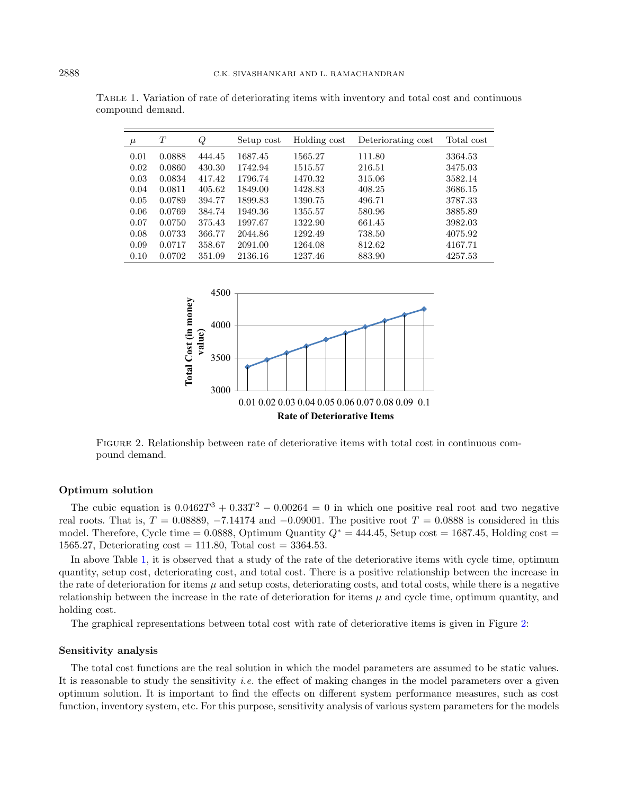<span id="page-5-0"></span>Table 1. Variation of rate of deteriorating items with inventory and total cost and continuous compound demand.

| $\mu$ | T      | Q      | Setup cost | Holding cost | Deteriorating cost | Total cost |
|-------|--------|--------|------------|--------------|--------------------|------------|
| 0.01  | 0.0888 | 444.45 | 1687.45    | 1565.27      | 111.80             | 3364.53    |
| 0.02  | 0.0860 | 430.30 | 1742.94    | 1515.57      | 216.51             | 3475.03    |
| 0.03  | 0.0834 | 417.42 | 1796.74    | 1470.32      | 315.06             | 3582.14    |
| 0.04  | 0.0811 | 405.62 | 1849.00    | 1428.83      | 408.25             | 3686.15    |
| 0.05  | 0.0789 | 394.77 | 1899.83    | 1390.75      | 496.71             | 3787.33    |
| 0.06  | 0.0769 | 384.74 | 1949.36    | 1355.57      | 580.96             | 3885.89    |
| 0.07  | 0.0750 | 375.43 | 1997.67    | 1322.90      | 661.45             | 3982.03    |
| 0.08  | 0.0733 | 366.77 | 2044.86    | 1292.49      | 738.50             | 4075.92    |
| 0.09  | 0.0717 | 358.67 | 2091.00    | 1264.08      | 812.62             | 4167.71    |
| 0.10  | 0.0702 | 351.09 | 2136.16    | 1237.46      | 883.90             | 4257.53    |

<span id="page-5-1"></span>

Figure 2. Relationship between rate of deteriorative items with total cost in continuous compound demand.

#### Optimum solution

The cubic equation is  $0.0462T^3 + 0.33T^2 - 0.00264 = 0$  in which one positive real root and two negative real roots. That is,  $T = 0.08889, -7.14174$  and  $-0.09001$ . The positive root  $T = 0.0888$  is considered in this model. Therefore, Cycle time = 0.0888, Optimum Quantity  $Q^* = 444.45$ , Setup cost = 1687.45, Holding cost = 1565.27, Deteriorating cost = 111.80, Total cost =  $3364.53$ .

In above Table [1,](#page-5-0) it is observed that a study of the rate of the deteriorative items with cycle time, optimum quantity, setup cost, deteriorating cost, and total cost. There is a positive relationship between the increase in the rate of deterioration for items  $\mu$  and setup costs, deteriorating costs, and total costs, while there is a negative relationship between the increase in the rate of deterioration for items  $\mu$  and cycle time, optimum quantity, and holding cost.

The graphical representations between total cost with rate of deteriorative items is given in Figure [2:](#page-5-1)

#### Sensitivity analysis

The total cost functions are the real solution in which the model parameters are assumed to be static values. It is reasonable to study the sensitivity *i.e.* the effect of making changes in the model parameters over a given optimum solution. It is important to find the effects on different system performance measures, such as cost function, inventory system, etc. For this purpose, sensitivity analysis of various system parameters for the models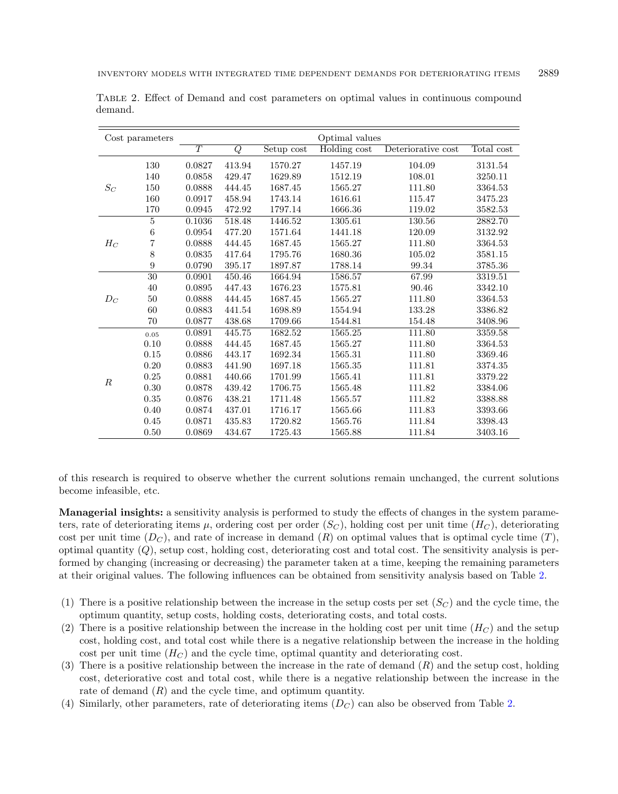| Cost parameters |                |                |                |            | Optimal values |                    |            |
|-----------------|----------------|----------------|----------------|------------|----------------|--------------------|------------|
|                 |                | $\overline{T}$ | $\overline{Q}$ | Setup cost | Holding cost   | Deteriorative cost | Total cost |
|                 | 130            | 0.0827         | 413.94         | 1570.27    | 1457.19        | 104.09             | 3131.54    |
|                 | 140            | 0.0858         | 429.47         | 1629.89    | 1512.19        | 108.01             | 3250.11    |
| $S_C$           | 150            | 0.0888         | 444.45         | 1687.45    | 1565.27        | 111.80             | 3364.53    |
|                 | 160            | 0.0917         | 458.94         | 1743.14    | 1616.61        | 115.47             | 3475.23    |
|                 | 170            | 0.0945         | 472.92         | 1797.14    | 1666.36        | 119.02             | 3582.53    |
|                 | $\overline{5}$ | 0.1036         | 518.48         | 1446.52    | 1305.61        | 130.56             | 2882.70    |
|                 | $\,6$          | 0.0954         | 477.20         | 1571.64    | 1441.18        | 120.09             | 3132.92    |
| $H_C$           | 7              | 0.0888         | 444.45         | 1687.45    | 1565.27        | 111.80             | 3364.53    |
|                 | 8              | 0.0835         | 417.64         | 1795.76    | 1680.36        | 105.02             | 3581.15    |
|                 | $\overline{9}$ | 0.0790         | 395.17         | 1897.87    | 1788.14        | 99.34              | 3785.36    |
|                 | 30             | 0.0901         | 450.46         | 1664.94    | 1586.57        | 67.99              | 3319.51    |
|                 | 40             | 0.0895         | 447.43         | 1676.23    | 1575.81        | 90.46              | 3342.10    |
| $D_C$           | $50\,$         | 0.0888         | 444.45         | 1687.45    | 1565.27        | 111.80             | 3364.53    |
|                 | 60             | 0.0883         | 441.54         | 1698.89    | 1554.94        | 133.28             | 3386.82    |
|                 | 70             | 0.0877         | 438.68         | 1709.66    | 1544.81        | 154.48             | 3408.96    |
|                 | 0.05           | 0.0891         | 445.75         | 1682.52    | 1565.25        | 111.80             | 3359.58    |
|                 | 0.10           | 0.0888         | 444.45         | 1687.45    | 1565.27        | 111.80             | 3364.53    |
|                 | 0.15           | 0.0886         | 443.17         | 1692.34    | 1565.31        | 111.80             | 3369.46    |
|                 | 0.20           | 0.0883         | 441.90         | 1697.18    | 1565.35        | 111.81             | 3374.35    |
| R               | 0.25           | 0.0881         | 440.66         | 1701.99    | 1565.41        | 111.81             | 3379.22    |
|                 | 0.30           | 0.0878         | 439.42         | 1706.75    | 1565.48        | 111.82             | 3384.06    |
|                 | 0.35           | 0.0876         | 438.21         | 1711.48    | 1565.57        | 111.82             | 3388.88    |
|                 | 0.40           | 0.0874         | 437.01         | 1716.17    | 1565.66        | 111.83             | 3393.66    |
|                 | 0.45           | 0.0871         | 435.83         | 1720.82    | 1565.76        | 111.84             | 3398.43    |
|                 | 0.50           | 0.0869         | 434.67         | 1725.43    | 1565.88        | 111.84             | 3403.16    |

<span id="page-6-0"></span>Table 2. Effect of Demand and cost parameters on optimal values in continuous compound demand.

of this research is required to observe whether the current solutions remain unchanged, the current solutions become infeasible, etc.

Managerial insights: a sensitivity analysis is performed to study the effects of changes in the system parameters, rate of deteriorating items  $\mu$ , ordering cost per order  $(S_C)$ , holding cost per unit time  $(H_C)$ , deteriorating cost per unit time  $(D_C)$ , and rate of increase in demand  $(R)$  on optimal values that is optimal cycle time  $(T)$ , optimal quantity  $(Q)$ , setup cost, holding cost, deteriorating cost and total cost. The sensitivity analysis is performed by changing (increasing or decreasing) the parameter taken at a time, keeping the remaining parameters at their original values. The following influences can be obtained from sensitivity analysis based on Table [2.](#page-6-0)

- (1) There is a positive relationship between the increase in the setup costs per set  $(S_C)$  and the cycle time, the optimum quantity, setup costs, holding costs, deteriorating costs, and total costs.
- (2) There is a positive relationship between the increase in the holding cost per unit time  $(H_C)$  and the setup cost, holding cost, and total cost while there is a negative relationship between the increase in the holding cost per unit time  $(H_C)$  and the cycle time, optimal quantity and deteriorating cost.
- (3) There is a positive relationship between the increase in the rate of demand  $(R)$  and the setup cost, holding cost, deteriorative cost and total cost, while there is a negative relationship between the increase in the rate of demand  $(R)$  and the cycle time, and optimum quantity.
- (4) Similarly, other parameters, rate of deteriorating items  $(D<sub>C</sub>)$  can also be observed from Table [2.](#page-6-0)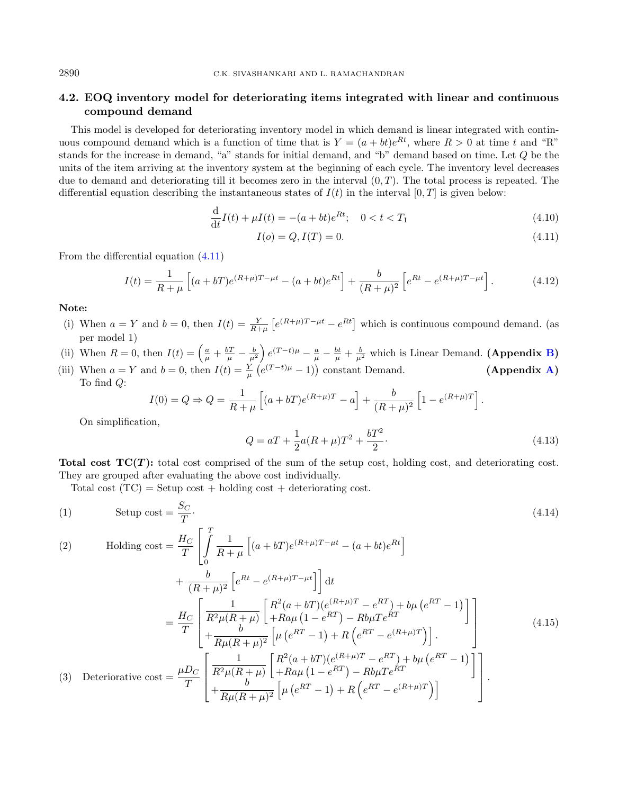## 4.2. EOQ inventory model for deteriorating items integrated with linear and continuous compound demand

This model is developed for deteriorating inventory model in which demand is linear integrated with continuous compound demand which is a function of time that is  $Y = (a + bt)e^{Rt}$ , where  $R > 0$  at time t and "R" stands for the increase in demand, "a" stands for initial demand, and "b" demand based on time. Let Q be the units of the item arriving at the inventory system at the beginning of each cycle. The inventory level decreases due to demand and deteriorating till it becomes zero in the interval  $(0, T)$ . The total process is repeated. The differential equation describing the instantaneous states of  $I(t)$  in the interval [0, T] is given below:

$$
\frac{d}{dt}I(t) + \mu I(t) = -(a+bt)e^{Rt}; \quad 0 < t < T_1
$$
\n(4.10)

<span id="page-7-0"></span>
$$
I(o) = Q, I(T) = 0.
$$
\n(4.11)

From the differential equation [\(4.11\)](#page-7-0)

$$
I(t) = \frac{1}{R+\mu} \left[ (a+bT)e^{(R+\mu)T-\mu t} - (a+bt)e^{Rt} \right] + \frac{b}{(R+\mu)^2} \left[ e^{Rt} - e^{(R+\mu)T-\mu t} \right].
$$
 (4.12)

#### Note:

- (i) When  $a = Y$  and  $b = 0$ , then  $I(t) = \frac{Y}{R+\mu} \left[ e^{(R+\mu)T-\mu t} e^{Rt} \right]$  which is continuous compound demand. (as per model 1)
- (ii) When  $R = 0$ , then  $I(t) = \left(\frac{a}{\mu} + \frac{bT}{\mu} \frac{b}{\mu^2}\right)e^{(T-t)\mu} \frac{a}{\mu} \frac{bt}{\mu} + \frac{b}{\mu^2}$  which is Linear Demand. (Appendix [B\)](#page-19-0)
- (iii) When  $a = Y$  and  $b = 0$ , then  $I(t) = \frac{Y}{\mu} (e^{(T-t)\mu} 1)$  constant Demand. (Appendix [A\)](#page-18-1) To find  $\mathcal{O}$ :

$$
I(0) = Q \Rightarrow Q = \frac{1}{R+\mu} \left[ (a+bT)e^{(R+\mu)T} - a \right] + \frac{b}{(R+\mu)^2} \left[ 1 - e^{(R+\mu)T} \right].
$$

On simplification,

$$
Q = aT + \frac{1}{2}a(R+\mu)T^2 + \frac{bT^2}{2}.
$$
\n(4.13)

**Total cost**  $TC(T)$ **:** total cost comprised of the sum of the setup cost, holding cost, and deteriorating cost. They are grouped after evaluating the above cost individually.

Total cost  $(TC)$  = Setup cost + holding cost + deteriorating cost.

(1) Setup cost =  $\frac{S_C}{T}$ •  $(4.14)$ 

(2) Holding cost 
$$
= \frac{H_C}{T} \left[ \int_{0}^{T} \frac{1}{R+\mu} \left[ (a+bT)e^{(R+\mu)T-\mu t} - (a+bt)e^{Rt} \right] \right. \\ + \frac{b}{(R+\mu)^2} \left[ e^{Rt} - e^{(R+\mu)T-\mu t} \right] dt
$$

$$
= \frac{H_C}{T} \left[ \frac{1}{R^2\mu(R+\mu)} \left[ \frac{R^2(a+bT)(e^{(R+\mu)T} - e^{RT}) + b\mu(e^{RT} - 1)}{R\mu(R+\mu)^2} \right] + Ra\mu(1 - e^{RT}) - Rb\mu Te^{RT}} \right] \left. \left( 4.15 \right) \right]
$$

$$
(4.15)
$$
  
(3) Determine cost 
$$
= \frac{\mu D_C}{T} \left[ \frac{1}{R^2\mu(R+\mu)} \left[ \frac{R^2(a+bT)(e^{(R+\mu)T} - e^{RT}) + b\mu(e^{RT} - 1)}{Ra\mu(1 - e^{RT}) - Rb\mu Te^{RT}} \right] \right].
$$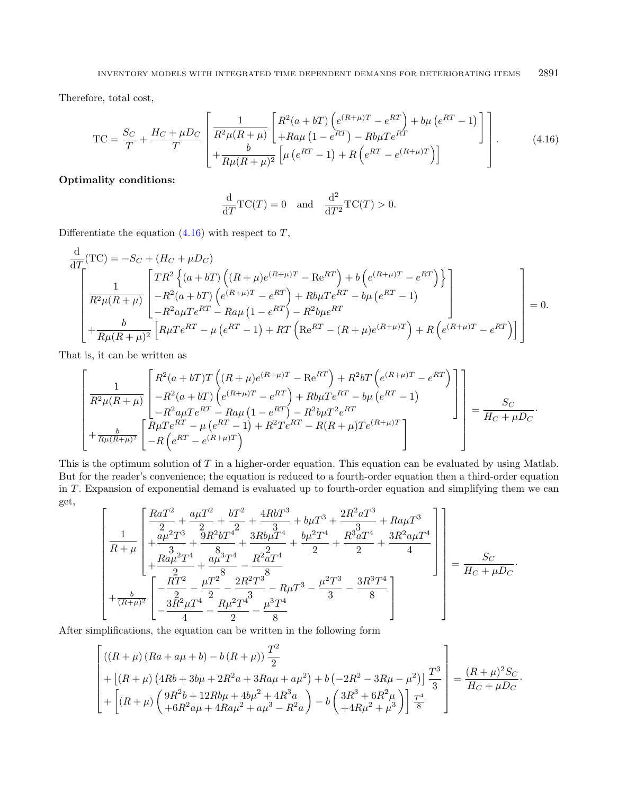Therefore, total cost,

$$
TC = \frac{S_C}{T} + \frac{H_C + \mu D_C}{T} \left[ \frac{\frac{1}{R^2 \mu (R + \mu)} \left[ \frac{R^2 (a + bT)}{R \mu (R + \mu)} \left( e^{(R + \mu)T} - e^{RT} \right) + b\mu (e^{RT} - 1) \right] \right] + \frac{b}{R\mu (R + \mu)^2} \left[ \mu (e^{RT} - 1) + R \left( e^{RT} - e^{(R + \mu)T} \right) \right] \tag{4.16}
$$

Optimality conditions:

<span id="page-8-0"></span>
$$
\frac{\mathrm{d}}{\mathrm{d}T}\mathrm{TC}(T) = 0 \quad \text{and} \quad \frac{\mathrm{d}^2}{\mathrm{d}T^2}\mathrm{TC}(T) > 0.
$$

Differentiate the equation  $(4.16)$  with respect to T,

$$
\frac{d}{dT}(TC) = -S_C + (H_C + \mu D_C)
$$
\n
$$
\left[\frac{TR^2 \{(a + bT) ((R + \mu)e^{(R + \mu)T} - Re^{RT}) + b(e^{(R + \mu)T} - e^{RT})\}}{-R^2(a + bT) (e^{(R + \mu)T} - e^{RT}) + Rb\mu Te^{RT} - b\mu (e^{RT} - 1)}
$$
\n
$$
+ \frac{b}{R\mu(R + \mu)^2} \left[R\mu Te^{RT} - \mu (e^{RT} - 1) + RT (Re^{RT} - (R + \mu)e^{(R + \mu)T}) + R(e^{(R + \mu)T} - e^{RT})\right]\right] = 0.
$$

That is, it can be written as

$$
\begin{bmatrix}\n1 & R^2(a+bT)T((R+\mu)e^{(R+\mu)T} - \text{Re}^{RT}) + R^2bT(e^{(R+\mu)T} - e^{RT}) \\
-R^2(a+bT)(e^{(R+\mu)T} - e^{RT}) + Rb\mu Te^{RT} - b\mu(e^{RT} - 1) \\
-R^2a\mu Te^{RT} - Ra\mu(1 - e^{RT}) - R^2b\mu T^2e^{RT} \\
+\frac{b}{R\mu(1-\mu)^2} \begin{bmatrix} R\mu Te^{RT} - \mu(e^{RT} - 1) + R^2Te^{RT} - R(R+\mu)Te^{(R+\mu)T} \\
-R(e^{RT} - e^{(R+\mu)T})\n\end{bmatrix} = \frac{S_C}{H_C + \mu D_C}.\n\end{bmatrix}
$$

This is the optimum solution of  $T$  in a higher-order equation. This equation can be evaluated by using Matlab. But for the reader's convenience; the equation is reduced to a fourth-order equation then a third-order equation in  $T$ . Expansion of exponential demand is evaluated up to fourth-order equation and simplifying them we can get,

$$
\left[\frac{1}{R+\mu}\left[\begin{array}{l} \frac{RaT^2}{2}+\frac{a\mu T^2}{2}+\frac{bT^2}{3}+\frac{4RbT^3}{3}+b\mu T^3+\frac{2R^2aT^3}{8^3}+Ra\mu T^3 \\ +\frac{a\mu^2T^3}{3}+\frac{9R^2bT^4}{8}+\frac{3Rb\mu T^4}{2}+\frac{b\mu^2T^4}{2}+\frac{R^3aT^4}{2}+\frac{3R^2a\mu T^4}{4} \\ +\frac{Ra\mu^2T^4}{2}+\frac{a\mu^3T^4}{2}-\frac{R^2aT^4}{2} \\ +\frac{b}{(R+\mu)^2}\left[-\frac{RT^2}{3} -\frac{\mu T^2}{4}-\frac{2R^2T^3}{2}-R\mu T^3-\frac{\mu^2T^3}{3}-\frac{3R^3T^4}{8}\right] \\ -\frac{3R^2\mu T^4}{4}-\frac{R\mu^2T^4}{2}-\frac{\mu^3T^4}{8} \end{array}\right]=\frac{Sc}{H_C+\mu D_C}.
$$

After simplifications, the equation can be written in the following form

$$
\begin{bmatrix}\n((R+\mu)(Ra+a\mu+b)-b(R+\mu))\frac{T^2}{2} \\
+[(R+\mu)(4Rb+3b\mu+2R^2a+3Ra\mu+a\mu^2)+b(-2R^2-3R\mu-\mu^2)]\frac{T^3}{3} \\
+[(R+\mu)\left(\frac{9R^2b+12Rb\mu+4b\mu^2+4R^3a}{+6R^2a\mu+4Ra\mu^2+a\mu^3-R^2a}\right)-b\left(\frac{3R^3+6R^2\mu}{4R\mu^2+\mu^3}\right)\frac{T^4}{8}\n\end{bmatrix} = \frac{(R+\mu)^2S_C}{H_C+\mu D_C}.
$$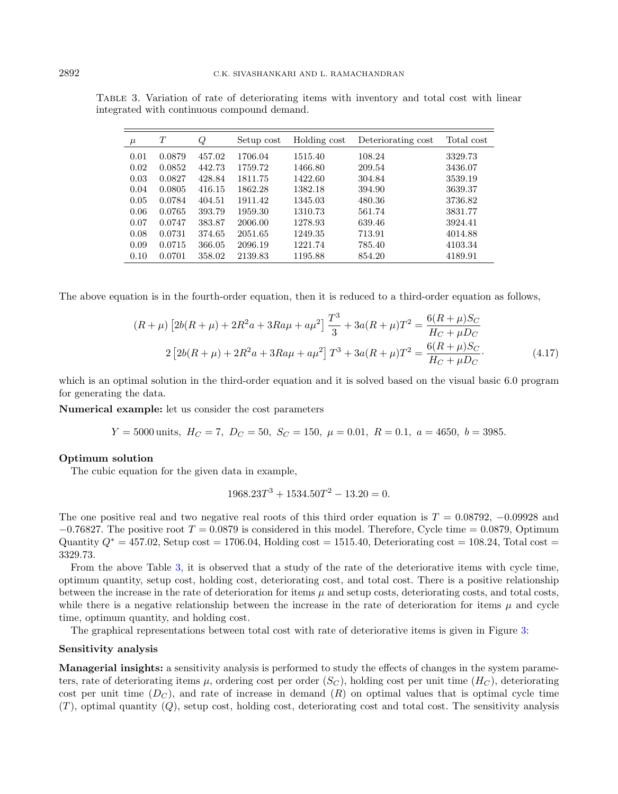| $\mu$ | T      | Q      | Setup cost | Holding cost | Deteriorating cost | Total cost |
|-------|--------|--------|------------|--------------|--------------------|------------|
| 0.01  | 0.0879 | 457.02 | 1706.04    | 1515.40      | 108.24             | 3329.73    |
| 0.02  | 0.0852 | 442.73 | 1759.72    | 1466.80      | 209.54             | 3436.07    |
| 0.03  | 0.0827 | 428.84 | 1811.75    | 1422.60      | 304.84             | 3539.19    |
| 0.04  | 0.0805 | 416.15 | 1862.28    | 1382.18      | 394.90             | 3639.37    |
| 0.05  | 0.0784 | 404.51 | 1911.42    | 1345.03      | 480.36             | 3736.82    |
| 0.06  | 0.0765 | 393.79 | 1959.30    | 1310.73      | 561.74             | 3831.77    |
| 0.07  | 0.0747 | 383.87 | 2006.00    | 1278.93      | 639.46             | 3924.41    |
| 0.08  | 0.0731 | 374.65 | 2051.65    | 1249.35      | 713.91             | 4014.88    |
| 0.09  | 0.0715 | 366.05 | 2096.19    | 1221.74      | 785.40             | 4103.34    |
| 0.10  | 0.0701 | 358.02 | 2139.83    | 1195.88      | 854.20             | 4189.91    |

<span id="page-9-0"></span>Table 3. Variation of rate of deteriorating items with inventory and total cost with linear integrated with continuous compound demand.

The above equation is in the fourth-order equation, then it is reduced to a third-order equation as follows,

$$
(R+\mu)\left[2b(R+\mu)+2R^2a+3Ra\mu+a\mu^2\right]\frac{T^3}{3}+3a(R+\mu)T^2 = \frac{6(R+\mu)Sc}{H_C+\mu D_C}
$$
  

$$
2\left[2b(R+\mu)+2R^2a+3Ra\mu+a\mu^2\right]T^3+3a(R+\mu)T^2 = \frac{6(R+\mu)Sc}{H_C+\mu D_C}.
$$
 (4.17)

which is an optimal solution in the third-order equation and it is solved based on the visual basic 6.0 program for generating the data.

Numerical example: let us consider the cost parameters

$$
Y = 5000 \text{ units}, H_C = 7, D_C = 50, S_C = 150, \mu = 0.01, R = 0.1, a = 4650, b = 3985
$$

#### Optimum solution

The cubic equation for the given data in example,

$$
1968.23T^3 + 1534.50T^2 - 13.20 = 0.
$$

The one positive real and two negative real roots of this third order equation is  $T = 0.08792$ ,  $-0.09928$  and  $-0.76827$ . The positive root  $T = 0.0879$  is considered in this model. Therefore, Cycle time = 0.0879, Optimum Quantity  $Q^* = 457.02$ , Setup cost = 1706.04, Holding cost = 1515.40, Deteriorating cost = 108.24, Total cost = 3329.73.

From the above Table [3,](#page-9-0) it is observed that a study of the rate of the deteriorative items with cycle time, optimum quantity, setup cost, holding cost, deteriorating cost, and total cost. There is a positive relationship between the increase in the rate of deterioration for items  $\mu$  and setup costs, deteriorating costs, and total costs, while there is a negative relationship between the increase in the rate of deterioration for items  $\mu$  and cycle time, optimum quantity, and holding cost.

The graphical representations between total cost with rate of deteriorative items is given in Figure [3:](#page-10-0)

#### Sensitivity analysis

Managerial insights: a sensitivity analysis is performed to study the effects of changes in the system parameters, rate of deteriorating items  $\mu$ , ordering cost per order  $(S_C)$ , holding cost per unit time  $(H_C)$ , deteriorating cost per unit time  $(D_C)$ , and rate of increase in demand  $(R)$  on optimal values that is optimal cycle time  $(T)$ , optimal quantity  $(Q)$ , setup cost, holding cost, deteriorating cost and total cost. The sensitivity analysis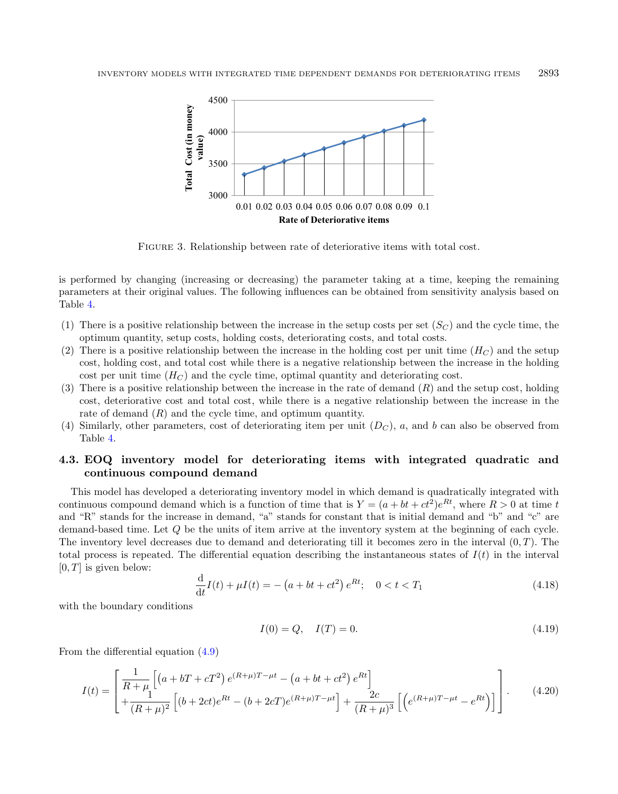<span id="page-10-0"></span>

Figure 3. Relationship between rate of deteriorative items with total cost.

is performed by changing (increasing or decreasing) the parameter taking at a time, keeping the remaining parameters at their original values. The following influences can be obtained from sensitivity analysis based on Table [4.](#page-11-0)

- (1) There is a positive relationship between the increase in the setup costs per set  $(S_C)$  and the cycle time, the optimum quantity, setup costs, holding costs, deteriorating costs, and total costs.
- (2) There is a positive relationship between the increase in the holding cost per unit time  $(H_C)$  and the setup cost, holding cost, and total cost while there is a negative relationship between the increase in the holding cost per unit time  $(H_C)$  and the cycle time, optimal quantity and deteriorating cost.
- (3) There is a positive relationship between the increase in the rate of demand  $(R)$  and the setup cost, holding cost, deteriorative cost and total cost, while there is a negative relationship between the increase in the rate of demand  $(R)$  and the cycle time, and optimum quantity.
- (4) Similarly, other parameters, cost of deteriorating item per unit  $(D<sub>C</sub>)$ , a, and b can also be observed from Table [4.](#page-11-0)

## 4.3. EOQ inventory model for deteriorating items with integrated quadratic and continuous compound demand

This model has developed a deteriorating inventory model in which demand is quadratically integrated with continuous compound demand which is a function of time that is  $Y = (a + bt + ct^2)e^{Rt}$ , where  $R > 0$  at time t and "R" stands for the increase in demand, "a" stands for constant that is initial demand and "b" and "c" are demand-based time. Let  $Q$  be the units of item arrive at the inventory system at the beginning of each cycle. The inventory level decreases due to demand and deteriorating till it becomes zero in the interval  $(0, T)$ . The total process is repeated. The differential equation describing the instantaneous states of  $I(t)$  in the interval  $[0, T]$  is given below:

$$
\frac{d}{dt}I(t) + \mu I(t) = -(a + bt + ct^2) e^{Rt}; \quad 0 < t < T_1
$$
\n(4.18)

with the boundary conditions

$$
I(0) = Q, \quad I(T) = 0.
$$
\n(4.19)

From the differential equation [\(4.9\)](#page-4-1)

$$
I(t) = \begin{bmatrix} \frac{1}{R+\mu} \left[ (a+bT+cT^2) e^{(R+\mu)T-\mu t} - (a+bt+ct^2) e^{Rt} \right] \\ + \frac{1}{(R+\mu)^2} \left[ (b+2ct)e^{Rt} - (b+2cT)e^{(R+\mu)T-\mu t} \right] + \frac{2c}{(R+\mu)^3} \left[ \left( e^{(R+\mu)T-\mu t} - e^{Rt} \right) \right] \end{bmatrix} . \tag{4.20}
$$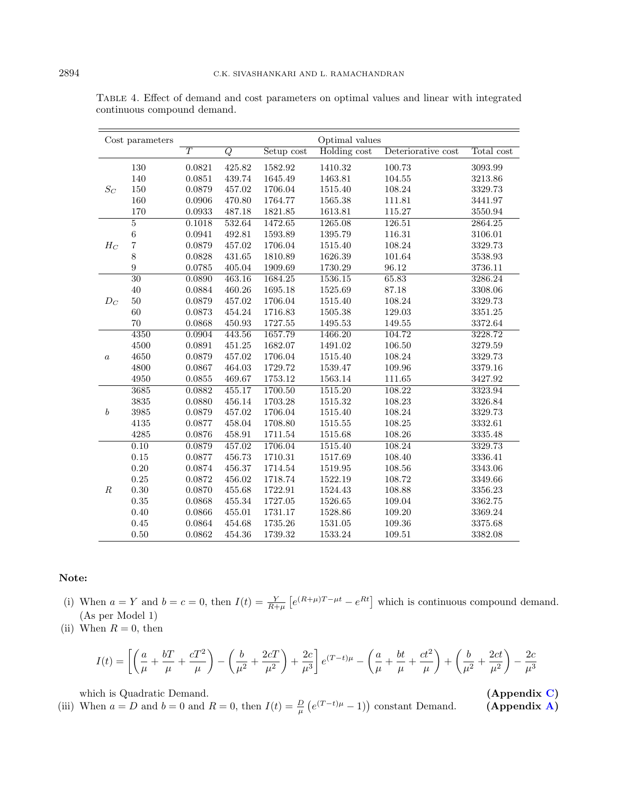| Cost parameters          |                 |                |        |            | Optimal values |                    |            |
|--------------------------|-----------------|----------------|--------|------------|----------------|--------------------|------------|
|                          |                 | $\overline{T}$ | Q      | Setup cost | Holding cost   | Deteriorative cost | Total cost |
|                          | 130             | 0.0821         | 425.82 | 1582.92    | 1410.32        | 100.73             | 3093.99    |
|                          | 140             | 0.0851         | 439.74 | 1645.49    | 1463.81        | 104.55             | 3213.86    |
| $S_C$                    | 150             | 0.0879         | 457.02 | 1706.04    | 1515.40        | 108.24             | 3329.73    |
|                          | 160             | 0.0906         | 470.80 | 1764.77    | 1565.38        | 111.81             | 3441.97    |
|                          | 170             | 0.0933         | 487.18 | 1821.85    | 1613.81        | 115.27             | 3550.94    |
|                          | $\bf 5$         | 0.1018         | 532.64 | 1472.65    | 1265.08        | 126.51             | 2864.25    |
|                          | $\overline{6}$  | 0.0941         | 492.81 | 1593.89    | 1395.79        | 116.31             | 3106.01    |
| $H_C$                    | $\overline{7}$  | 0.0879         | 457.02 | 1706.04    | 1515.40        | 108.24             | 3329.73    |
|                          | 8               | 0.0828         | 431.65 | 1810.89    | 1626.39        | 101.64             | 3538.93    |
|                          | $\overline{9}$  | 0.0785         | 405.04 | 1909.69    | 1730.29        | 96.12              | 3736.11    |
|                          | $\overline{30}$ | 0.0890         | 463.16 | 1684.25    | 1536.15        | 65.83              | 3286.24    |
|                          | 40              | 0.0884         | 460.26 | 1695.18    | 1525.69        | 87.18              | 3308.06    |
| $\mathcal{D}\mathcal{C}$ | 50              | 0.0879         | 457.02 | 1706.04    | 1515.40        | 108.24             | 3329.73    |
|                          | 60              | 0.0873         | 454.24 | 1716.83    | 1505.38        | 129.03             | 3351.25    |
|                          | $70\,$          | 0.0868         | 450.93 | 1727.55    | 1495.53        | 149.55             | 3372.64    |
|                          | 4350            | 0.0904         | 443.56 | 1657.79    | 1466.20        | 104.72             | 3228.72    |
|                          | 4500            | 0.0891         | 451.25 | 1682.07    | 1491.02        | 106.50             | 3279.59    |
| $\boldsymbol{a}$         | 4650            | 0.0879         | 457.02 | 1706.04    | 1515.40        | 108.24             | 3329.73    |
|                          | 4800            | 0.0867         | 464.03 | 1729.72    | 1539.47        | 109.96             | 3379.16    |
|                          | 4950            | 0.0855         | 469.67 | 1753.12    | 1563.14        | 111.65             | 3427.92    |
|                          | 3685            | 0.0882         | 455.17 | 1700.50    | 1515.20        | 108.22             | 3323.94    |
|                          | 3835            | 0.0880         | 456.14 | 1703.28    | 1515.32        | 108.23             | 3326.84    |
| $\boldsymbol{b}$         | 3985            | 0.0879         | 457.02 | 1706.04    | 1515.40        | 108.24             | 3329.73    |
|                          | 4135            | 0.0877         | 458.04 | 1708.80    | 1515.55        | 108.25             | 3332.61    |
|                          | 4285            | 0.0876         | 458.91 | 1711.54    | 1515.68        | 108.26             | 3335.48    |
|                          | 0.10            | 0.0879         | 457.02 | 1706.04    | 1515.40        | 108.24             | 3329.73    |
|                          | 0.15            | 0.0877         | 456.73 | 1710.31    | 1517.69        | 108.40             | 3336.41    |
|                          | 0.20            | 0.0874         | 456.37 | 1714.54    | 1519.95        | 108.56             | 3343.06    |
|                          | 0.25            | 0.0872         | 456.02 | 1718.74    | 1522.19        | 108.72             | 3349.66    |
| $\boldsymbol{R}$         | 0.30            | 0.0870         | 455.68 | 1722.91    | 1524.43        | 108.88             | 3356.23    |
|                          | 0.35            | 0.0868         | 455.34 | 1727.05    | 1526.65        | 109.04             | 3362.75    |
|                          | 0.40            | 0.0866         | 455.01 | 1731.17    | 1528.86        | 109.20             | 3369.24    |
|                          | 0.45            | 0.0864         | 454.68 | 1735.26    | 1531.05        | 109.36             | 3375.68    |
|                          | 0.50            | 0.0862         | 454.36 | 1739.32    | 1533.24        | 109.51             | 3382.08    |

<span id="page-11-0"></span>Table 4. Effect of demand and cost parameters on optimal values and linear with integrated continuous compound demand.

## Note:

- (i) When  $a = Y$  and  $b = c = 0$ , then  $I(t) = \frac{Y}{R+\mu} \left[ e^{(R+\mu)T-\mu t} e^{Rt} \right]$  which is continuous compound demand. (As per Model 1)
- (ii) When  $R = 0$ , then

$$
I(t) = \left[ \left( \frac{a}{\mu} + \frac{bT}{\mu} + \frac{cT^2}{\mu} \right) - \left( \frac{b}{\mu^2} + \frac{2cT}{\mu^2} \right) + \frac{2c}{\mu^3} \right] e^{(T-t)\mu} - \left( \frac{a}{\mu} + \frac{bt}{\mu} + \frac{ct^2}{\mu} \right) + \left( \frac{b}{\mu^2} + \frac{2ct}{\mu^2} \right) - \frac{2c}{\mu^3}
$$

which is Quadratic Demand. (Appendix [C\)](#page-20-0)<br>When  $a = D$  and  $b = 0$  and  $R = 0$ , then  $I(t) = \frac{D}{u} (e^{(T-t)\mu} - 1)$  constant Demand. (Appendix A) (iii) When  $a = D$  and  $b = 0$  and  $R = 0$ , then  $I(t) = \frac{D}{\mu} (e^{(T-t)\mu} - 1)$  constant Demand. (Appendix [A\)](#page-18-1)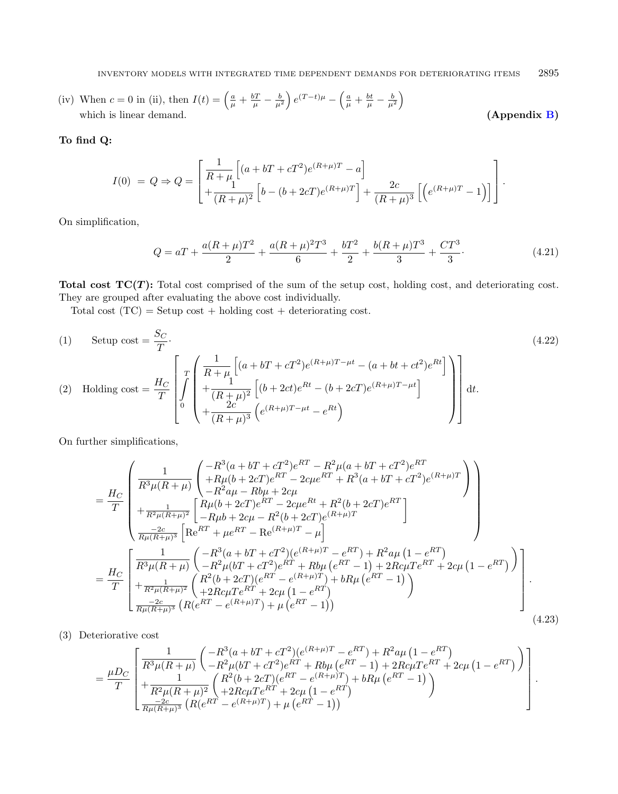INVENTORY MODELS WITH INTEGRATED TIME DEPENDENT DEMANDS FOR DETERIORATING ITEMS 2895

(iv) When  $c = 0$  in (ii), then  $I(t) = \left(\frac{a}{\mu} + \frac{bT}{\mu} - \frac{b}{\mu^2}\right) e^{(T-t)\mu} - \left(\frac{a}{\mu} + \frac{bt}{\mu} - \frac{b}{\mu^2}\right)$ which is linear demand.  $\qquad \qquad (Appendix B)$  $\qquad \qquad (Appendix B)$ 

#### To find Q:

$$
I(0) = Q \Rightarrow Q = \left[ \frac{\frac{1}{R + \mu} \left[ (a + bT + cT^2) e^{(R + \mu)T} - a \right]}{+\frac{1}{(R + \mu)^2} \left[ b - (b + 2cT) e^{(R + \mu)T} \right] + \frac{2c}{(R + \mu)^3} \left[ \left( e^{(R + \mu)T} - 1 \right) \right] \right].
$$

On simplification,

$$
Q = aT + \frac{a(R+\mu)T^2}{2} + \frac{a(R+\mu)^2T^3}{6} + \frac{bT^2}{2} + \frac{b(R+\mu)T^3}{3} + \frac{CT^3}{3}.
$$
 (4.21)

Total cost  $TC(T)$ : Total cost comprised of the sum of the setup cost, holding cost, and deteriorating cost. They are grouped after evaluating the above cost individually.

Total cost  $(TC)$  = Setup cost + holding cost + deteriorating cost.

(1) Setup cost = 
$$
\frac{S_C}{T}
$$
.  
\n(2) Holding cost =  $\frac{H_C}{T}$   $\left[ \int_{0}^{T} \left( \frac{\frac{1}{R+\mu} \left[ (a+bT+cT^2)e^{(R+\mu)T-\mu t} - (a+bt+ct^2)e^{Rt} \right] }{\left( \frac{1}{(R+\mu)^2} \left[ (b+2ct)e^{Rt} - (b+2cT)e^{(R+\mu)T-\mu t} \right] } \right) \right] dt.$  (4.22)  
\n $+ \frac{1}{(R+\mu)^3} \left( e^{(R+\mu)T-\mu t} - e^{Rt} \right)$ 

On further simplifications,

$$
= \frac{H_C}{T} \left( \frac{1}{R^3 \mu (R + \mu)} \left( \frac{-R^3 (a + bT + cT^2) e^{RT} - R^2 \mu (a + bT + cT^2) e^{RT}}{+R^2 a \mu - R b \mu + 2 c \mu} + R^3 (a + bT + cT^2) e^{(R + \mu)T} \right) \right)
$$
  
\n
$$
= \frac{H_C}{T} \left( \frac{1}{R^2 \mu (R + \mu)^2} \left[ \frac{R \mu (b + 2cT) e^{RT} - 2c \mu e^{Rt} + R^2 (b + 2cT) e^{RT}}{-R \mu b + 2c \mu - R^2 (b + 2cT) e^{(R + \mu)T}} \right] \right)
$$
  
\n
$$
= \frac{-2c}{R \mu (R + \mu)^3} \left[ \text{Re}^{RT} + \mu e^{RT} - \text{Re}^{(R + \mu)T} - \mu \right]
$$
  
\n
$$
= \frac{H_C}{T} \left[ \frac{1}{R^3 \mu (R + \mu)} \left( \frac{-R^3 (a + bT + cT^2) (e^{(R + \mu)T} - e^{RT}) + R^2 a \mu (1 - e^{RT})}{-R^2 \mu (bT + cT^2) e^{RT} + R b \mu (e^{RT} - 1) + 2R c \mu T e^{RT} + 2c \mu (1 - e^{RT})} \right) \right]
$$
  
\n
$$
= \frac{H_C}{T} \left[ \frac{1}{\frac{R^2 \mu (R + \mu)^2}{R^2 \mu (R + \mu)^2}} \left( \frac{R^2 (b + 2cT) (e^{RT} - e^{(R + \mu)T}) + bR \mu (e^{RT} - 1)}{+2R c \mu T e^{RT} + 2c \mu (1 - e^{RT})} \right) \right]
$$
  
\n
$$
= \frac{-2c}{R \mu (R + \mu)^3} \left( R (e^{RT} - e^{(R + \mu)T}) + \mu (e^{RT} - 1) \right)
$$
  
\n(4.23)

(3) Deteriorative cost

$$
= \frac{\mu D_C}{T} \left[ \frac{\frac{1}{R^3 \mu (R+\mu )} \left(-R^3 (a+bT+cT^2) (e^{(R+\mu )T}-e^{RT})+R^2 a \mu \left(1-e^{RT}\right)\right.}{+\frac{1}{R^2 \mu (R+\mu )^2} \left(\frac{R^2 (b+2cT) (e^{RT}-e^{(R+\mu )T})+2R c \mu T e^{RT}+2c \mu \left(1-e^{RT}\right)}{+2R c \mu T e^{RT}+2c \mu \left(1-e^{RT}\right)}\right)\right]} \right] \cdot \frac{1}{R^2 \mu (R+\mu )^2} \left( \frac{R^2 (b+2cT) (e^{RT}-e^{(R+\mu )T})+b R \mu \left(e^{RT}-1\right)}{+\mu (e^{RT}-e^{(R+\mu )T})+\mu \left(e^{RT}-1\right)}\right) \right].
$$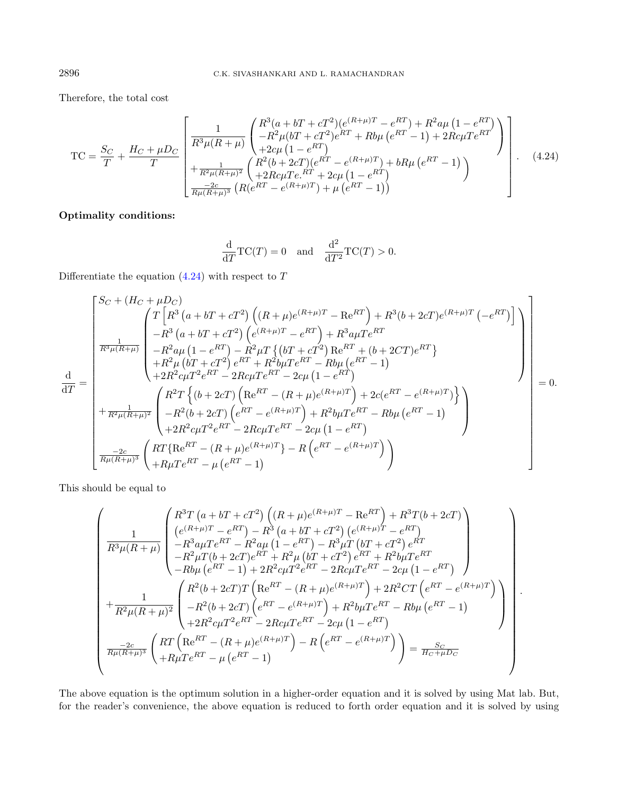Therefore, the total cost

$$
TC = \frac{S_C}{T} + \frac{H_C + \mu D_C}{T} \left[ \frac{\frac{1}{R^3 \mu (R + \mu)} \left( \frac{R^3 (a + bT + cT^2)(e^{(R + \mu)T} - e^{RT}) + R^2 a \mu (1 - e^{RT})}{-R^2 \mu (bT + cT^2)e^{RT} + R b \mu (e^{RT} - 1) + 2R c \mu T e^{RT}} \right) \right] + \frac{1}{R^2 \mu (R + \mu)^2} \left( \frac{R^2 (b + 2cT)(e^{RT} - e^{(R + \mu)T}) + bR \mu (e^{RT} - 1)}{+2R c \mu T e^{RT} + 2c \mu (1 - e^{RT})} \right) \left( \frac{-2c}{R \mu (R + \mu)^3} \left( R (e^{RT} - e^{(R + \mu)T}) + \mu (e^{RT} - 1) \right) \right)
$$
(4.24)

Optimality conditions:

<span id="page-13-0"></span>
$$
\frac{\mathrm{d}}{\mathrm{d}T}\mathrm{TC}(T) = 0 \text{ and } \frac{\mathrm{d}^2}{\mathrm{d}T^2}\mathrm{TC}(T) > 0.
$$

Differentiate the equation  $(4.24)$  with respect to T

$$
\frac{d}{dT} = \begin{bmatrix}\nS_C + (H_C + \mu D_C) & \left(T\left[R^3\left(a + bT + cT^2\right)\left((R + \mu)e^{(R + \mu)T} - \text{Re}^{RT}\right) + R^3(b + 2cT)e^{(R + \mu)T}\left(-e^{RT}\right)\right] \\
-\frac{1}{R^3\mu(R + \mu)} & -R^3\left(a + bT + cT^2\right)\left(e^{(R + \mu)T} - e^{RT}\right) + R^3a\mu Te^{RT} \\
-\frac{1}{R^3\mu(R + \mu)} & -R^2a\mu\left(1 - e^{RT}\right) - R^2\mu T\left\{(bT + cT^2) \text{Re}^{RT} + (b + 2CT)e^{RT}\right\} \\
+ R^2\mu\left(bT + cT^2\right)e^{RT} + R^3b\mu Te^{RT} - Rb\mu\left(e^{RT} - 1\right) \\
+ 2R^2c\mu T^2e^{RT} - 2Rc\mu Te^{RT} - 2c\mu\left(1 - e^{RT}\right) \\
+\frac{1}{R^2\mu(R + \mu)^2} & -R^2(b + 2cT)\left(e^{RT} - (R + \mu)e^{(R + \mu)T}\right) + R^2b\mu Te^{RT} - Rb\mu\left(e^{RT} - 1\right) \\
+ 2R^2c\mu T^2e^{RT} - 2Rc\mu Te^{RT} - 2c\mu\left(1 - e^{RT}\right) \\
+ 2R^2c\mu T^2e^{RT} - 2Rc\mu Te^{RT} - 2c\mu\left(1 - e^{RT}\right)\n\end{bmatrix} = 0.
$$

This should be equal to

$$
\begin{pmatrix}\n\frac{1}{R^{3}\mu(R+\mu)}\n\begin{pmatrix}\nR^{3}T\left(a+bT+cT^{2}\right)\left((R+\mu)e^{(R+\mu)T}-\text{Re}^{RT}\right)+R^{3}T(b+2cT) \\
(e^{(R+\mu)T}-e^{RT})-R^{3}\left(a+bT+cT^{2}\right)\left(e^{(R+\mu)T}-e^{RT}\right) \\
-R^{3}a\muTe^{RT}-R^{2}a\mu\left(1-e^{RT}\right)-R^{3}\mu T\left(bT+cT^{2}\right)e^{RT} \\
-R^{2}\mu T(b+2cT)e^{RT}+R^{2}\mu\left(bT+cT^{2}\right)e^{RT}+R^{2}b\mu Te^{RT} \\
-Rb\mu\left(e^{RT}-1\right)+2R^{2}c\mu T^{2}e^{RT}-2Rc\mu Te^{RT}-2c\mu\left(1-e^{RT}\right)\n\end{pmatrix} \\
+\frac{1}{R^{2}\mu(R+\mu)^{2}}\n\begin{pmatrix}\nR^{2}(b+2cT)T\left(\text{Re}^{RT}-(R+\mu)e^{(R+\mu)T}\right)+2R^{2}CT\left(e^{RT}-e^{(R+\mu)T}\right) \\
-R^{2}(b+2cT)\left(e^{RT}-e^{(R+\mu)T}\right)+R^{2}b\mu Te^{RT}-Rb\mu\left(e^{RT}-1\right) \\
+2R^{2}c\mu T^{2}e^{RT}-2Rc\mu Te^{RT}-2c\mu\left(1-e^{RT}\right)\n\end{pmatrix} \\
-\frac{2c}{R\mu(R+\mu)^{3}}\n\begin{pmatrix}\nRT\left(\text{Re}^{RT}-(R+\mu)e^{(R+\mu)T}\right)-R\left(e^{RT}-e^{(R+\mu)T}\right) \\
+R\mu Te^{RT}-\mu\left(e^{RT}-1\right)\n\end{pmatrix} = \frac{S_{C}}{H_{C}+\mu D_{C}}\n\end{pmatrix}
$$

The above equation is the optimum solution in a higher-order equation and it is solved by using Mat lab. But, for the reader's convenience, the above equation is reduced to forth order equation and it is solved by using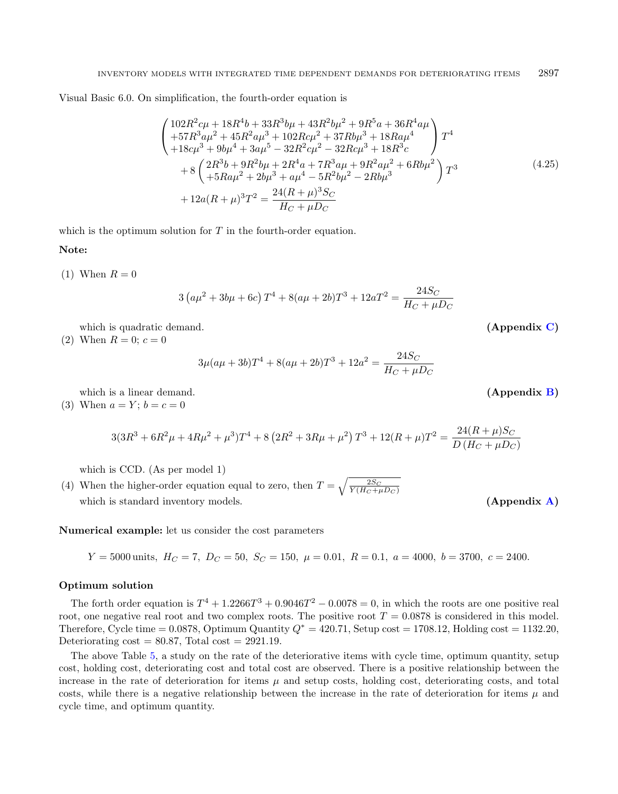Visual Basic 6.0. On simplification, the fourth-order equation is

$$
\begin{pmatrix}\n102R^2c\mu + 18R^4b + 33R^3b\mu + 43R^2b\mu^2 + 9R^5a + 36R^4a\mu \\
+ 57R^3a\mu^2 + 45R^2a\mu^3 + 102Rc\mu^2 + 37Rb\mu^3 + 18Ra\mu^4 \\
+ 18c\mu^3 + 9b\mu^4 + 3a\mu^5 - 32R^2c\mu^2 - 32Rc\mu^3 + 18R^3c\n\end{pmatrix} T^4
$$
\n
$$
+ 8\begin{pmatrix}\n2R^3b + 9R^2b\mu + 2R^4a + 7R^3a\mu + 9R^2a\mu^2 + 6Rb\mu^2 \\
+ 5Ra\mu^2 + 2b\mu^3 + a\mu^4 - 5R^2b\mu^2 - 2Rb\mu^3\n\end{pmatrix} T^3
$$
\n
$$
+ 12a(R + \mu)^3T^2 = \frac{24(R + \mu)^3S_C}{H_C + \mu D_C}
$$
\n(4.25)

which is the optimum solution for  $T$  in the fourth-order equation.

#### Note:

 $(1)$  When  $R = 0$ 

$$
3\left(a\mu^2 + 3b\mu + 6c\right)T^4 + 8(a\mu + 2b)T^3 + 12aT^2 = \frac{24Sc}{H_C + \mu D_C}
$$

which is quadratic demand. (Appendix [C\)](#page-20-0)

(2) When  $R = 0$ ;  $c = 0$ 

$$
3\mu(a\mu + 3b)T^{4} + 8(a\mu + 2b)T^{3} + 12a^{2} = \frac{24S_{C}}{H_{C} + \mu D_{C}}
$$

which is a linear demand. (Appendix [B\)](#page-19-0)

(3) When  $a = Y$ ;  $b = c = 0$ 

$$
3(3R^3 + 6R^2\mu + 4R\mu^2 + \mu^3)T^4 + 8(2R^2 + 3R\mu + \mu^2)T^3 + 12(R + \mu)T^2 = \frac{24(R + \mu)S_C}{D(H_C + \mu D_C)}
$$

which is CCD. (As per model 1)

(4) When the higher-order equation equal to zero, then  $T = \sqrt{\frac{2S_C}{Y(H_C + \mu D_C)}}$ which is standard inventory models. (Appendix [A\)](#page-18-1)

Numerical example: let us consider the cost parameters

 $Y = 5000$  units,  $H_C = 7$ ,  $D_C = 50$ ,  $S_C = 150$ ,  $\mu = 0.01$ ,  $R = 0.1$ ,  $a = 4000$ ,  $b = 3700$ ,  $c = 2400$ .

#### Optimum solution

The forth order equation is  $T^4 + 1.2266T^3 + 0.9046T^2 - 0.0078 = 0$ , in which the roots are one positive real root, one negative real root and two complex roots. The positive root  $T = 0.0878$  is considered in this model. Therefore, Cycle time = 0.0878, Optimum Quantity  $Q^* = 420.71$ , Setup cost = 1708.12, Holding cost = 1132.20, Deteriorating  $\text{cost} = 80.87$ , Total  $\text{cost} = 2921.19$ .

The above Table [5,](#page-15-0) a study on the rate of the deteriorative items with cycle time, optimum quantity, setup cost, holding cost, deteriorating cost and total cost are observed. There is a positive relationship between the increase in the rate of deterioration for items  $\mu$  and setup costs, holding cost, deteriorating costs, and total costs, while there is a negative relationship between the increase in the rate of deterioration for items  $\mu$  and cycle time, and optimum quantity.

$$
f_{\rm{max}}(x)
$$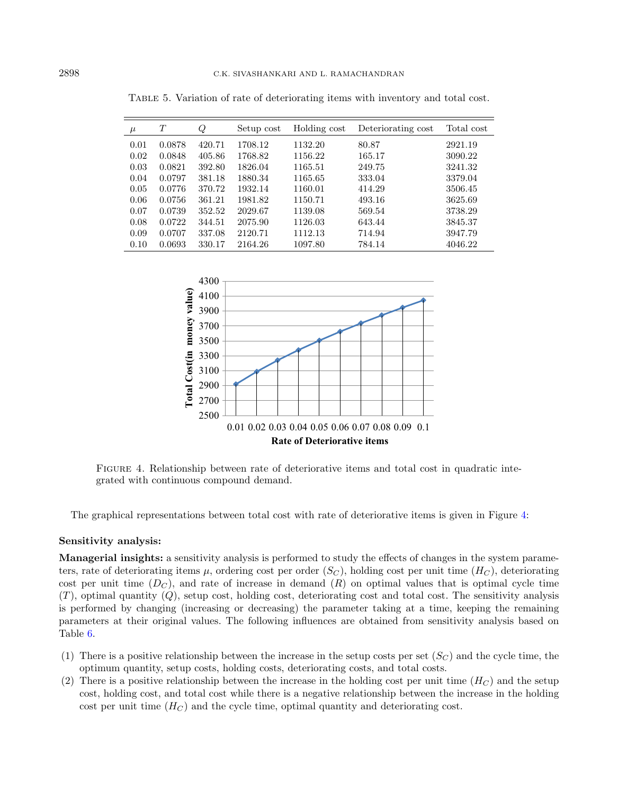| $\mu$ | T      | Q      | Setup cost | Holding cost | Deteriorating cost | Total cost |
|-------|--------|--------|------------|--------------|--------------------|------------|
| 0.01  | 0.0878 | 420.71 | 1708.12    | 1132.20      | 80.87              | 2921.19    |
| 0.02  | 0.0848 | 405.86 | 1768.82    | 1156.22      | 165.17             | 3090.22    |
| 0.03  | 0.0821 | 392.80 | 1826.04    | 1165.51      | 249.75             | 3241.32    |
| 0.04  | 0.0797 | 381.18 | 1880.34    | 1165.65      | 333.04             | 3379.04    |
| 0.05  | 0.0776 | 370.72 | 1932.14    | 1160.01      | 414.29             | 3506.45    |
| 0.06  | 0.0756 | 361.21 | 1981.82    | 1150.71      | 493.16             | 3625.69    |
| 0.07  | 0.0739 | 352.52 | 2029.67    | 1139.08      | 569.54             | 3738.29    |
| 0.08  | 0.0722 | 344.51 | 2075.90    | 1126.03      | 643.44             | 3845.37    |
| 0.09  | 0.0707 | 337.08 | 2120.71    | 1112.13      | 714.94             | 3947.79    |
| 0.10  | 0.0693 | 330.17 | 2164.26    | 1097.80      | 784.14             | 4046.22    |

<span id="page-15-0"></span>Table 5. Variation of rate of deteriorating items with inventory and total cost.

<span id="page-15-1"></span>

Figure 4. Relationship between rate of deteriorative items and total cost in quadratic integrated with continuous compound demand.

The graphical representations between total cost with rate of deteriorative items is given in Figure [4:](#page-15-1)

#### Sensitivity analysis:

Managerial insights: a sensitivity analysis is performed to study the effects of changes in the system parameters, rate of deteriorating items  $\mu$ , ordering cost per order  $(S_C)$ , holding cost per unit time  $(H_C)$ , deteriorating cost per unit time  $(D_C)$ , and rate of increase in demand  $(R)$  on optimal values that is optimal cycle time  $(T)$ , optimal quantity  $(Q)$ , setup cost, holding cost, deteriorating cost and total cost. The sensitivity analysis is performed by changing (increasing or decreasing) the parameter taking at a time, keeping the remaining parameters at their original values. The following influences are obtained from sensitivity analysis based on Table [6.](#page-16-0)

- (1) There is a positive relationship between the increase in the setup costs per set  $(S_C)$  and the cycle time, the optimum quantity, setup costs, holding costs, deteriorating costs, and total costs.
- (2) There is a positive relationship between the increase in the holding cost per unit time  $(H_C)$  and the setup cost, holding cost, and total cost while there is a negative relationship between the increase in the holding cost per unit time  $(H_C)$  and the cycle time, optimal quantity and deteriorating cost.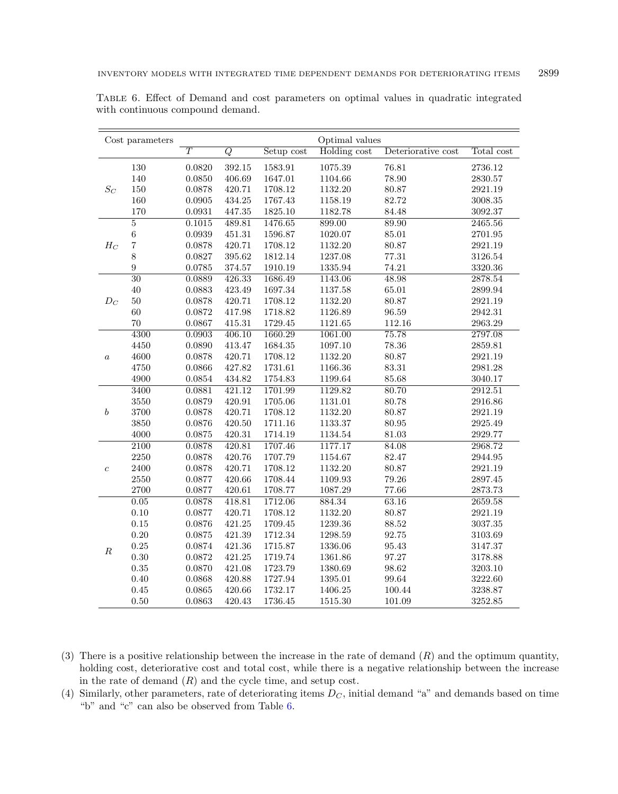| Cost parameters          |                   | $\overline{T}$ |                |            | Optimal values |                    |                      |
|--------------------------|-------------------|----------------|----------------|------------|----------------|--------------------|----------------------|
|                          |                   |                | $\overline{Q}$ | Setup cost | Holding cost   | Deteriorative cost | Total cost           |
|                          | $130\,$           | 0.0820         | 392.15         | 1583.91    | 1075.39        | $76.81\,$          | 2736.12              |
|                          | 140               | 0.0850         | 406.69         | 1647.01    | 1104.66        | 78.90              | 2830.57              |
| $S_C$                    | 150               | 0.0878         | 420.71         | 1708.12    | 1132.20        | 80.87              | 2921.19              |
|                          | 160               | 0.0905         | 434.25         | 1767.43    | 1158.19        | 82.72              | 3008.35              |
|                          | 170               | 0.0931         | 447.35         | 1825.10    | 1182.78        | 84.48              | 3092.37              |
|                          | $\overline{5}$    | 0.1015         | 489.81         | 1476.65    | 899.00         | 89.90              | 2465.56              |
|                          | $\,6$             | 0.0939         | 451.31         | 1596.87    | 1020.07        | 85.01              | 2701.95              |
| $H_C$                    | $\overline{7}$    | 0.0878         | 420.71         | 1708.12    | 1132.20        | 80.87              | 2921.19              |
|                          | 8                 | 0.0827         | 395.62         | 1812.14    | 1237.08        | 77.31              | 3126.54              |
|                          | $\boldsymbol{9}$  | 0.0785         | 374.57         | 1910.19    | 1335.94        | 74.21              | 3320.36              |
|                          | $\overline{30}$   | 0.0889         | 426.33         | 1686.49    | 1143.06        | 48.98              | 2878.54              |
|                          | $40\,$            | 0.0883         | 423.49         | 1697.34    | 1137.58        | 65.01              | 2899.94              |
| $\mathcal{D}\mathcal{C}$ | 50                | 0.0878         | 420.71         | 1708.12    | 1132.20        | 80.87              | 2921.19              |
|                          | 60                | 0.0872         | 417.98         | 1718.82    | 1126.89        | 96.59              | 2942.31              |
|                          | 70                | 0.0867         | 415.31         | 1729.45    | 1121.65        | 112.16             | 2963.29              |
|                          | 4300              | 0.0903         | 406.10         | 1660.29    | 1061.00        | 75.78              | 2797.08              |
|                          | 4450              | 0.0890         | 413.47         | 1684.35    | 1097.10        | 78.36              | 2859.81              |
| $\boldsymbol{a}$         | 4600              | 0.0878         | 420.71         | 1708.12    | 1132.20        | 80.87              | 2921.19              |
|                          | 4750              | 0.0866         | 427.82         | 1731.61    | 1166.36        | 83.31              | 2981.28              |
|                          | 4900              | 0.0854         | 434.82         | 1754.83    | 1199.64        | 85.68              | 3040.17              |
|                          | 3400              | 0.0881         | 421.12         | 1701.99    | 1129.82        | 80.70              | $\overline{2912.51}$ |
|                          | 3550              | 0.0879         | 420.91         | 1705.06    | 1131.01        | 80.78              | 2916.86              |
| $\boldsymbol{b}$         | 3700              | 0.0878         | 420.71         | 1708.12    | 1132.20        | 80.87              | 2921.19              |
|                          | 3850              | 0.0876         | 420.50         | 1711.16    | 1133.37        | 80.95              | 2925.49              |
|                          | 4000              | 0.0875         | 420.31         | 1714.19    | 1134.54        | $81.03\,$          | 2929.77              |
|                          | $\overline{2100}$ | 0.0878         | 420.81         | 1707.46    | 1177.17        | 84.08              | 2968.72              |
|                          | 2250              | 0.0878         | 420.76         | 1707.79    | 1154.67        | 82.47              | 2944.95              |
| $\boldsymbol{c}$         | 2400              | 0.0878         | 420.71         | 1708.12    | 1132.20        | 80.87              | 2921.19              |
|                          | 2550              | 0.0877         | 420.66         | 1708.44    | 1109.93        | 79.26              | 2897.45              |
|                          | 2700              | 0.0877         | 420.61         | 1708.77    | 1087.29        | 77.66              | 2873.73              |
|                          | 0.05              | 0.0878         | 418.81         | 1712.06    | 884.34         | 63.16              | 2659.58              |
|                          | 0.10              | 0.0877         | 420.71         | 1708.12    | 1132.20        | 80.87              | 2921.19              |
|                          | 0.15              | 0.0876         | 421.25         | 1709.45    | 1239.36        | 88.52              | 3037.35              |
|                          | 0.20              | 0.0875         | 421.39         | 1712.34    | 1298.59        | 92.75              | 3103.69              |
|                          | 0.25              | 0.0874         | 421.36         | 1715.87    | 1336.06        | 95.43              | 3147.37              |
| $\boldsymbol{R}$         | 0.30              | 0.0872         | 421.25         | 1719.74    | 1361.86        | 97.27              | 3178.88              |
|                          | $0.35\,$          | 0.0870         | 421.08         | 1723.79    | 1380.69        | 98.62              | 3203.10              |
|                          | 0.40              | 0.0868         | 420.88         | 1727.94    | 1395.01        | 99.64              | 3222.60              |
|                          | 0.45              | 0.0865         | 420.66         | 1732.17    | 1406.25        | 100.44             | 3238.87              |
|                          | 0.50              | 0.0863         | 420.43         | 1736.45    | 1515.30        | 101.09             | 3252.85              |

<span id="page-16-0"></span>Table 6. Effect of Demand and cost parameters on optimal values in quadratic integrated with continuous compound demand.

- (3) There is a positive relationship between the increase in the rate of demand  $(R)$  and the optimum quantity, holding cost, deteriorative cost and total cost, while there is a negative relationship between the increase in the rate of demand  $(R)$  and the cycle time, and setup cost.
- (4) Similarly, other parameters, rate of deteriorating items  $D<sub>C</sub>$ , initial demand "a" and demands based on time "b" and "c" can also be observed from Table [6.](#page-16-0)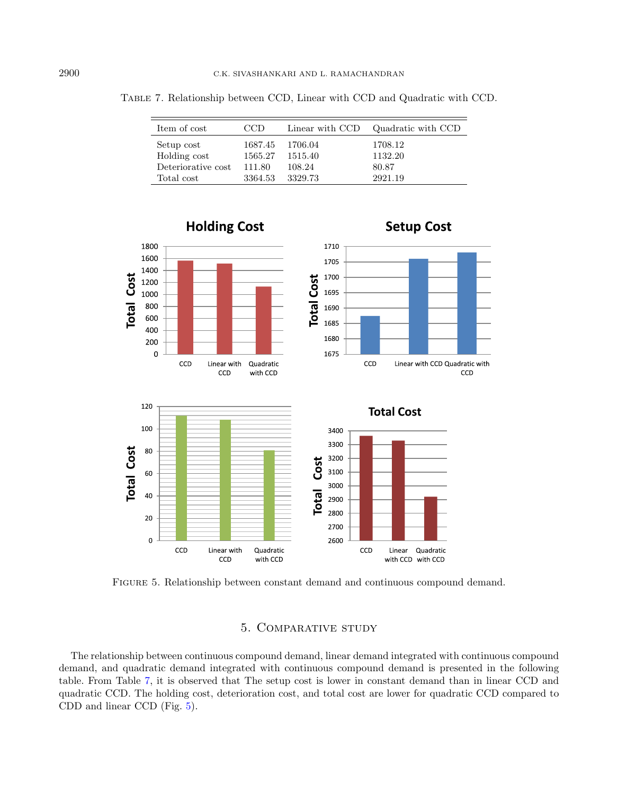| Item of cost       | CCD     | Linear with CCD | Quadratic with CCD |
|--------------------|---------|-----------------|--------------------|
| Setup cost         | 1687.45 | 1706.04         | 1708.12            |
| Holding cost       | 1565.27 | 1515.40         | 1132.20            |
| Deteriorative cost | 111.80  | 108.24          | 80.87              |
| Total cost         | 3364.53 | 3329.73         | 2921.19            |

**Holding Cost Setup Cost** 1800 1710 1600 1705 1400 **Total Cost** 1700 **Total Cost** 1200 1000 1695 800 1690 600 1685 400 1680 200  $\pmb{0}$ 1675  $CCD$ Linear with Quadratic CCD Linear with CCD Quadratic with CCD with CCD  $CCD$ 120 **Total Cost** 100 3400 3300 **Total Cost** 80 3200 Cost 3100 60 3000 **Total** 40 2900 2800 20 2700  $\mathsf{o}\xspace$ 2600 CCD Linear with Quadratic CCD Quadratic Linear CCD with CCD with CCD with CCD

<span id="page-17-2"></span>Figure 5. Relationship between constant demand and continuous compound demand.

## 5. Comparative study

<span id="page-17-0"></span>The relationship between continuous compound demand, linear demand integrated with continuous compound demand, and quadratic demand integrated with continuous compound demand is presented in the following table. From Table [7,](#page-17-1) it is observed that The setup cost is lower in constant demand than in linear CCD and quadratic CCD. The holding cost, deterioration cost, and total cost are lower for quadratic CCD compared to CDD and linear CCD (Fig. [5\)](#page-17-2).

<span id="page-17-1"></span>Table 7. Relationship between CCD, Linear with CCD and Quadratic with CCD.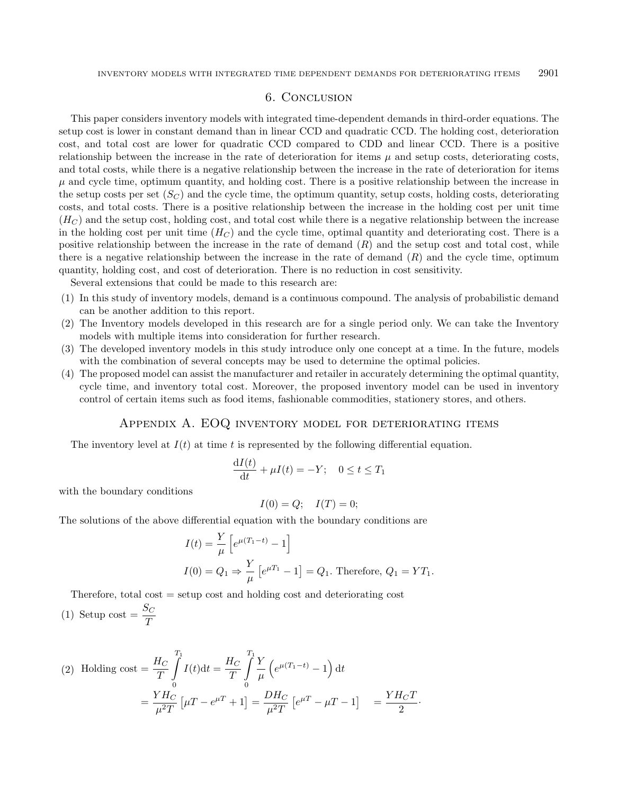#### 6. Conclusion

<span id="page-18-0"></span>This paper considers inventory models with integrated time-dependent demands in third-order equations. The setup cost is lower in constant demand than in linear CCD and quadratic CCD. The holding cost, deterioration cost, and total cost are lower for quadratic CCD compared to CDD and linear CCD. There is a positive relationship between the increase in the rate of deterioration for items  $\mu$  and setup costs, deteriorating costs. and total costs, while there is a negative relationship between the increase in the rate of deterioration for items  $\mu$  and cycle time, optimum quantity, and holding cost. There is a positive relationship between the increase in the setup costs per set  $(S_C)$  and the cycle time, the optimum quantity, setup costs, holding costs, deteriorating costs, and total costs. There is a positive relationship between the increase in the holding cost per unit time  $(H_C)$  and the setup cost, holding cost, and total cost while there is a negative relationship between the increase in the holding cost per unit time  $(H_C)$  and the cycle time, optimal quantity and deteriorating cost. There is a positive relationship between the increase in the rate of demand  $(R)$  and the setup cost and total cost, while there is a negative relationship between the increase in the rate of demand  $(R)$  and the cycle time, optimum quantity, holding cost, and cost of deterioration. There is no reduction in cost sensitivity.

Several extensions that could be made to this research are:

- (1) In this study of inventory models, demand is a continuous compound. The analysis of probabilistic demand can be another addition to this report.
- (2) The Inventory models developed in this research are for a single period only. We can take the Inventory models with multiple items into consideration for further research.
- (3) The developed inventory models in this study introduce only one concept at a time. In the future, models with the combination of several concepts may be used to determine the optimal policies.
- (4) The proposed model can assist the manufacturer and retailer in accurately determining the optimal quantity, cycle time, and inventory total cost. Moreover, the proposed inventory model can be used in inventory control of certain items such as food items, fashionable commodities, stationery stores, and others.

## Appendix A. EOQ inventory model for deteriorating items

<span id="page-18-1"></span>The inventory level at  $I(t)$  at time t is represented by the following differential equation.

$$
\frac{\mathrm{d}I(t)}{\mathrm{d}t} + \mu I(t) = -Y; \quad 0 \le t \le T_1
$$

with the boundary conditions

$$
I(0) = Q; \quad I(T) = 0;
$$

The solutions of the above differential equation with the boundary conditions are

$$
I(t) = \frac{Y}{\mu} \left[ e^{\mu(T_1 - t)} - 1 \right]
$$
  
\n
$$
I(0) = Q_1 \Rightarrow \frac{Y}{\mu} \left[ e^{\mu T_1} - 1 \right] = Q_1.
$$
 Therefore,  $Q_1 = YT_1.$ 

Therefore, total cost = setup cost and holding cost and deteriorating cost

(1) Setup cost = 
$$
\frac{S_C}{T}
$$

(2) Holding cost = 
$$
\frac{H_C}{T} \int_{0}^{T_1} I(t)dt = \frac{H_C}{T} \int_{0}^{T_1} \frac{Y}{\mu} \left(e^{\mu(T_1 - t)} - 1\right) dt
$$
  
=  $\frac{YH_C}{\mu^2 T} \left[\mu T - e^{\mu T} + 1\right] = \frac{DH_C}{\mu^2 T} \left[e^{\mu T} - \mu T - 1\right] = \frac{YH_C T}{2}.$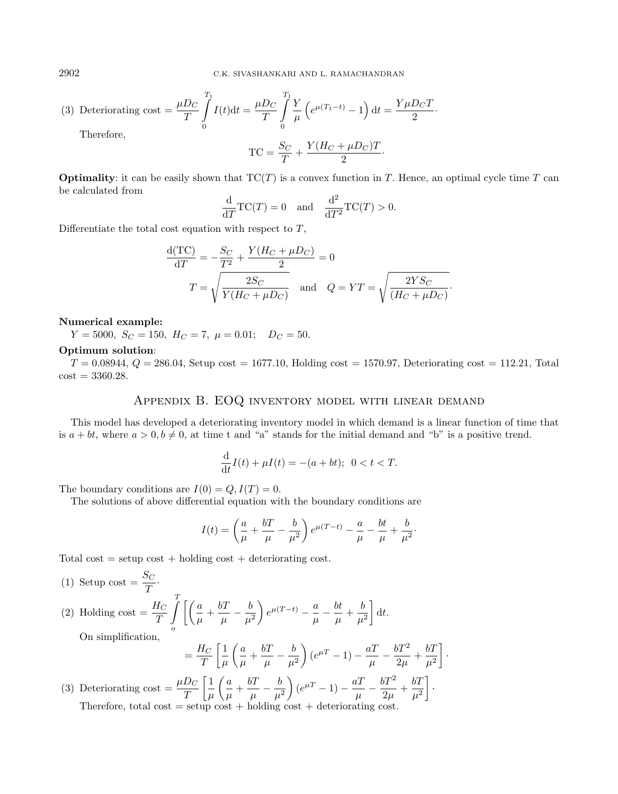(3) Determining cost = 
$$
\frac{\mu D_C}{T} \int_{0}^{T_1} I(t) dt = \frac{\mu D_C}{T} \int_{0}^{T_1} \frac{Y}{\mu} \left( e^{\mu(T_1 - t)} - 1 \right) dt = \frac{Y \mu D_C T}{2}
$$
  
Therefore,  $S_C = Y(H_C + \mu D_C)T$ 

$$
\text{TC} = \frac{S_C}{T} + \frac{Y(H_C + \mu D_C)T}{2} \cdot
$$

·

**Optimality**: it can be easily shown that  $TC(T)$  is a convex function in T. Hence, an optimal cycle time T can be calculated from

$$
\frac{\mathrm{d}}{\mathrm{d}T}\mathrm{TC}(T) = 0 \quad \text{and} \quad \frac{\mathrm{d}^2}{\mathrm{d}T^2}\mathrm{TC}(T) > 0.
$$

Differentiate the total cost equation with respect to  $T$ ,

$$
\frac{\mathrm{d}(\text{TC})}{\mathrm{d}T} = -\frac{S_C}{T^2} + \frac{Y(H_C + \mu D_C)}{2} = 0
$$
  

$$
T = \sqrt{\frac{2S_C}{Y(H_C + \mu D_C)}} \quad \text{and} \quad Q = YT = \sqrt{\frac{2YS_C}{(H_C + \mu D_C)}}.
$$

#### Numerical example:

 $Y = 5000, S_C = 150, H_C = 7, \mu = 0.01; D_C = 50.$ 

#### Optimum solution:

 $T = 0.08944$ ,  $Q = 286.04$ , Setup cost = 1677.10, Holding cost = 1570.97, Deteriorating cost = 112.21, Total  $cost = 3360.28.$ 

## Appendix B. EOQ inventory model with linear demand

<span id="page-19-0"></span>This model has developed a deteriorating inventory model in which demand is a linear function of time that is  $a + bt$ , where  $a > 0, b \neq 0$ , at time t and "a" stands for the initial demand and "b" is a positive trend.

$$
\frac{\mathrm{d}}{\mathrm{d}t}I(t) + \mu I(t) = -(a + bt); \ \ 0 < t < T.
$$

The boundary conditions are  $I(0) = Q, I(T) = 0$ .

The solutions of above differential equation with the boundary conditions are

$$
I(t) = \left(\frac{a}{\mu} + \frac{bT}{\mu} - \frac{b}{\mu^2}\right)e^{\mu(T-t)} - \frac{a}{\mu} - \frac{bt}{\mu} + \frac{b}{\mu^2}.
$$

Total cost  $=$  setup cost  $+$  holding cost  $+$  deteriorating cost.

(1) Setup cost =  $\frac{S_C}{T}$ .

(2) Holding cost 
$$
=
$$
  $\frac{H_C}{T} \int_{o}^{T} \left[ \left( \frac{a}{\mu} + \frac{bT}{\mu} - \frac{b}{\mu^2} \right) e^{\mu(T-t)} - \frac{a}{\mu} - \frac{bt}{\mu} + \frac{b}{\mu^2} \right] dt$ .

On simplification,

$$
= \frac{H_C}{T} \left[ \frac{1}{\mu} \left( \frac{a}{\mu} + \frac{bT}{\mu} - \frac{b}{\mu^2} \right) (e^{\mu T} - 1) - \frac{aT}{\mu} - \frac{bT^2}{2\mu} + \frac{bT}{\mu^2} \right].
$$

(3) Deteriorating cost  $=\frac{\mu D_C}{T}$  $\lceil 1 \rceil$  $\mu$  $\int a$  $\frac{a}{\mu}+\frac{bT}{\mu}$  $\frac{dT}{\mu}-\frac{b}{\mu^2}$  $\mu^2$  $\int (e^{\mu T}-1) - \frac{aT}{2}$  $\frac{dT}{\mu}-\frac{bT^2}{2\mu}$  $\frac{bT^2}{2\mu}+\frac{bT}{\mu^2}$  $\mu^2$  $\big]$  . Therefore, total cost = setup cost + holding cost + deteriorating cost.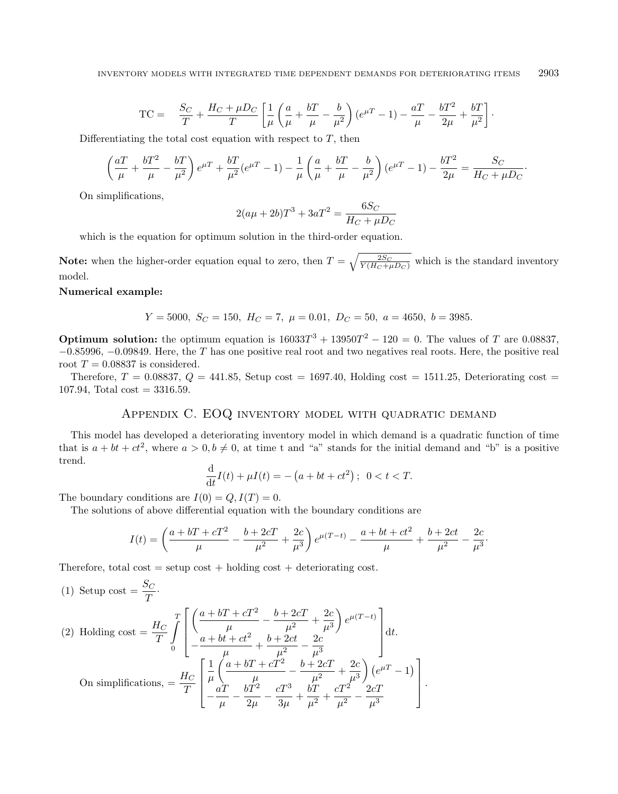$$
TC = \frac{S_C}{T} + \frac{H_C + \mu D_C}{T} \left[ \frac{1}{\mu} \left( \frac{a}{\mu} + \frac{bT}{\mu} - \frac{b}{\mu^2} \right) (e^{\mu T} - 1) - \frac{aT}{\mu} - \frac{bT^2}{2\mu} + \frac{bT}{\mu^2} \right].
$$

Differentiating the total cost equation with respect to  $T$ , then

$$
\left(\frac{aT}{\mu} + \frac{bT^2}{\mu} - \frac{bT}{\mu^2}\right)e^{\mu T} + \frac{bT}{\mu^2}(e^{\mu T} - 1) - \frac{1}{\mu}\left(\frac{a}{\mu} + \frac{bT}{\mu} - \frac{b}{\mu^2}\right)(e^{\mu T} - 1) - \frac{bT^2}{2\mu} = \frac{S_C}{H_C + \mu D_C}.
$$

On simplifications,

$$
2(a\mu + 2b)T^3 + 3aT^2 = \frac{6S_C}{H_C + \mu D_C}
$$

which is the equation for optimum solution in the third-order equation.

Note: when the higher-order equation equal to zero, then  $T = \sqrt{\frac{2S_C}{Y(H_C + \mu D_C)}}$  which is the standard inventory model.

#### Numerical example:

 $Y = 5000, S_C = 150, H_C = 7, \mu = 0.01, D_C = 50, a = 4650, b = 3985.$ 

**Optimum solution:** the optimum equation is  $16033T^3 + 13950T^2 - 120 = 0$ . The values of T are 0.08837,  $-0.85996, -0.09849$ . Here, the T has one positive real root and two negatives real roots. Here, the positive real root  $T = 0.08837$  is considered.

Therefore,  $T = 0.08837$ ,  $Q = 441.85$ , Setup cost = 1697.40, Holding cost = 1511.25, Deteriorating cost = 107.94, Total cost =  $3316.59$ .

## Appendix C. EOQ inventory model with quadratic demand

<span id="page-20-0"></span>This model has developed a deteriorating inventory model in which demand is a quadratic function of time that is  $a + bt + ct^2$ , where  $a > 0, b \neq 0$ , at time t and "a" stands for the initial demand and "b" is a positive trend.

$$
\frac{\mathrm{d}}{\mathrm{d}t}I(t) + \mu I(t) = -(a + bt + ct^2); \ 0 < t < T.
$$

The boundary conditions are  $I(0) = Q$ ,  $I(T) = 0$ .

The solutions of above differential equation with the boundary conditions are

$$
I(t) = \left(\frac{a + bT + cT^2}{\mu} - \frac{b + 2cT}{\mu^2} + \frac{2c}{\mu^3}\right)e^{\mu(T-t)} - \frac{a + bt + ct^2}{\mu} + \frac{b + 2ct}{\mu^2} - \frac{2c}{\mu^3}
$$

·

Therefore, total cost = setup cost + holding cost + deteriorating cost.

(1) Setup cost = 
$$
\frac{S_C}{T}
$$
.  
\n(2) Holding cost =  $\frac{H_C}{T} \int_0^T \left[ \left( \frac{a + bT + cT^2}{\mu} - \frac{b + 2cT}{\mu^2} + \frac{2c}{\mu^3} \right) e^{\mu(T-t)} \right] dt$ .  
\nOn simplifications, =  $\frac{H_C}{T} \left[ \frac{1}{\mu} \left( \frac{a + bT + cT^2}{\mu} - \frac{b + 2ct}{\mu^2} - \frac{b + 2cT}{\mu^2} + \frac{2c}{\mu^3} \right) (e^{\mu T} - 1) \right]$ .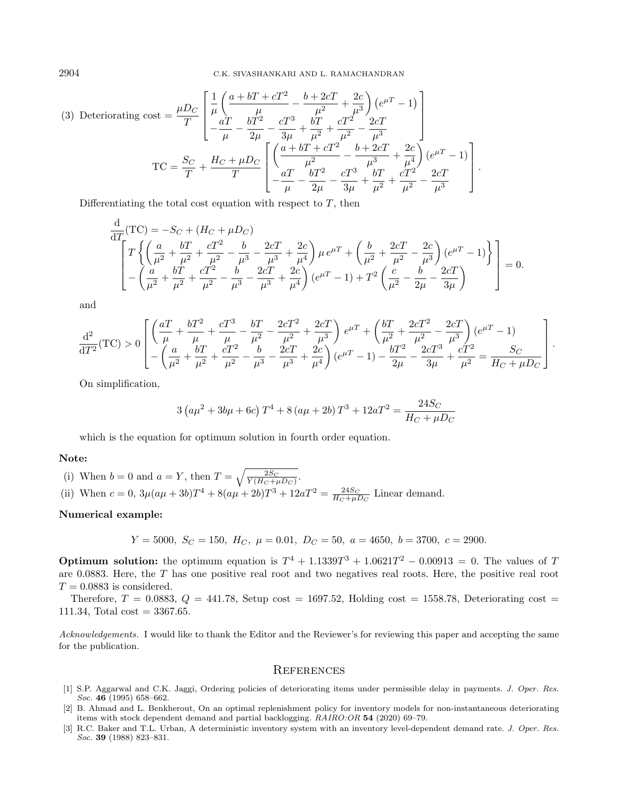2904 C.K. SIVASHANKARI AND L. RAMACHANDRAN

(3) Determining cost 
$$
= \frac{\mu D_C}{T} \left[ \frac{1}{\mu} \left( \frac{a + bT + cT^2}{\mu} - \frac{b + 2cT}{\mu^2} + \frac{2c}{\mu^3} \right) (e^{\mu T} - 1) \right]
$$

$$
- \frac{aT}{\mu} - \frac{bT^2}{2\mu} - \frac{cT^3}{3\mu} + \frac{bT}{\mu^2} + \frac{cT^2}{\mu^2} - \frac{2cT}{\mu^3}
$$

$$
TC = \frac{S_C}{T} + \frac{H_C + \mu D_C}{T} \left[ \frac{\left( \frac{a + bT + cT^2}{\mu^2} - \frac{b + 2cT}{\mu^3} + \frac{2c}{\mu^4} \right) (e^{\mu T} - 1) \right]
$$

$$
- \frac{aT}{\mu} - \frac{bT^2}{2\mu} - \frac{cT^3}{3\mu} + \frac{bT}{\mu^2} + \frac{cT^2}{\mu^2} - \frac{2cT}{\mu^3}
$$

Differentiating the total cost equation with respect to  $T$ , then

$$
\frac{\mathrm{d}}{\mathrm{d}T}(TC) = -S_C + (H_C + \mu D_C) \n\left[ T \left\{ \left( \frac{a}{\mu^2} + \frac{bT}{\mu^2} + \frac{cT^2}{\mu^2} - \frac{b}{\mu^3} - \frac{2cT}{\mu^3} + \frac{2c}{\mu^4} \right) \mu e^{\mu T} + \left( \frac{b}{\mu^2} + \frac{2cT}{\mu^2} - \frac{2c}{\mu^3} \right) (e^{\mu T} - 1) \right\} \right] = 0.
$$
\n
$$
- \left( \frac{a}{\mu^2} + \frac{bT}{\mu^2} + \frac{cT^2}{\mu^2} - \frac{b}{\mu^3} - \frac{2cT}{\mu^3} + \frac{2c}{\mu^4} \right) (e^{\mu T} - 1) + T^2 \left( \frac{c}{\mu^2} - \frac{b}{2\mu} - \frac{2cT}{3\mu} \right) \right] = 0.
$$

and

$$
\frac{\mathrm{d}^2}{\mathrm{d}T^2}(\text{TC}) > 0 \left[ \frac{\left(\frac{aT}{\mu} + \frac{bT^2}{\mu} + \frac{cT^3}{\mu} - \frac{bT}{\mu^2} - \frac{2cT^2}{\mu^2} + \frac{2cT}{\mu^3}\right)e^{\mu T} + \left(\frac{bT}{\mu^2} + \frac{2cT^2}{\mu^2} - \frac{2cT}{\mu^3}\right)(e^{\mu T} - 1) - \frac{\left(\frac{bT}{\mu^2} + \frac{cT^2}{\mu^2} - \frac{cT}{\mu^3}\right)(e^{\mu T} - 1) - \frac{bT^2}{2\mu} - \frac{2cT^3}{3\mu} + \frac{cT^2}{\mu^2} = \frac{S_C}{H_C + \mu D_C} \right].
$$

On simplification,

$$
3\left(a\mu^2 + 3b\mu + 6c\right)T^4 + 8\left(a\mu + 2b\right)T^3 + 12aT^2 = \frac{24S_C}{H_C + \mu D_C}
$$

which is the equation for optimum solution in fourth order equation.

#### Note:

(i) When 
$$
b = 0
$$
 and  $a = Y$ , then  $T = \sqrt{\frac{2SC}{Y(H_C + \mu D_C)}}$ .  
\n(ii) When  $c = 0$ ,  $3\mu(a\mu + 3b)T^4 + 8(a\mu + 2b)T^3 + 12aT^2 = \frac{24Sc}{H_C + \mu D_C}$  Linear demand.

#### Numerical example:

$$
Y = 5000, \ S_C = 150, \ H_C, \ \mu = 0.01, \ D_C = 50, \ a = 4650, \ b = 3700, \ c = 2900.
$$

<span id="page-21-2"></span><span id="page-21-0"></span>**Optimum solution:** the optimum equation is  $T^4 + 1.1339T^3 + 1.0621T^2 - 0.00913 = 0$ . The values of T are 0.0883. Here, the  $T$  has one positive real root and two negatives real roots. Here, the positive real root  $T = 0.0883$  is considered.

<span id="page-21-1"></span>Therefore,  $T = 0.0883$ ,  $Q = 441.78$ , Setup cost = 1697.52, Holding cost = 1558.78, Deteriorating cost = 111.34, Total cost =  $3367.65$ .

Acknowledgements. I would like to thank the Editor and the Reviewer's for reviewing this paper and accepting the same for the publication.

#### **REFERENCES**

- [1] S.P. Aggarwal and C.K. Jaggi, Ordering policies of deteriorating items under permissible delay in payments. J. Oper. Res. Soc. 46 (1995) 658-662.
- [2] B. Ahmad and L. Benkherout, On an optimal replenishment policy for inventory models for non-instantaneous deteriorating items with stock dependent demand and partial backlogging. RAIRO:OR 54 (2020) 69–79.
- [3] R.C. Baker and T.L. Urban, A deterministic inventory system with an inventory level-dependent demand rate. J. Oper. Res. Soc. 39 (1988) 823–831.